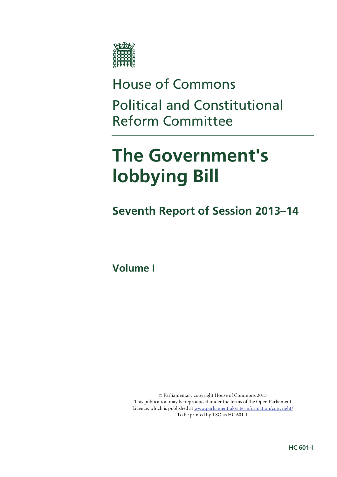

# House of Commons Political and Constitutional Reform Committee

# **The Government's lobbying Bill**

## **Seventh Report of Session 2013–14**

**Volume I** 

© Parliamentary copyright House of Commons 2013 This publication may be reproduced under the terms of the Open Parliament Licence, which is published at www.parliament.uk/site-information/copyright/ To be printed by TSO as HC 601-I.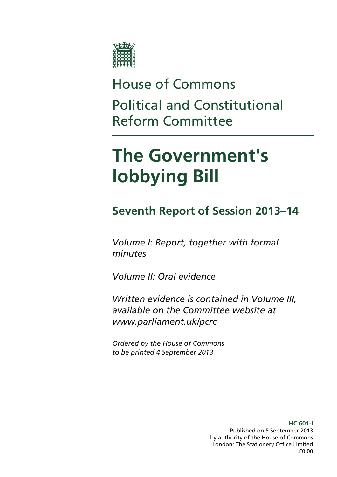

# House of Commons Political and Constitutional Reform Committee

# **The Government's lobbying Bill**

## **Seventh Report of Session 2013–14**

*Volume I: Report, together with formal minutes* 

*Volume II: Oral evidence* 

*Written evidence is contained in Volume III, available on the Committee website at www.parliament.uk/pcrc* 

*Ordered by the House of Commons to be printed 4 September 2013* 

> **HC 601-I**  Published on 5 September 2013 by authority of the House of Commons London: The Stationery Office Limited £0.00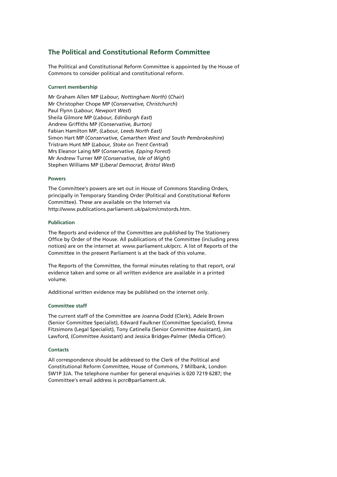### **The Political and Constitutional Reform Committee**

The Political and Constitutional Reform Committee is appointed by the House of Commons to consider political and constitutional reform.

#### **Current membership**

Mr Graham Allen MP (*Labour, Nottingham North*) (*Chair*) Mr Christopher Chope MP (*Conservative, Christchurch*) Paul Flynn (*Labour, Newport West*) Sheila Gilmore MP (*Labour, Edinburgh East*) Andrew Griffiths MP *(Conservative, Burton)* Fabian Hamilton MP, *(Labour, Leeds North East)* Simon Hart MP (*Conservative, Camarthen West and South Pembrokeshire*) Tristram Hunt MP (*Labour, Stoke on Trent Central*) Mrs Eleanor Laing MP (*Conservative, Epping Forest*) Mr Andrew Turner MP (*Conservative, Isle of Wight*) Stephen Williams MP (*Liberal Democrat, Bristol West*)

#### **Powers**

The Committee's powers are set out in House of Commons Standing Orders, principally in Temporary Standing Order (Political and Constitutional Reform Committee). These are available on the Internet via http://www.publications.parliament.uk/pa/cm/cmstords.htm.

#### **Publication**

The Reports and evidence of the Committee are published by The Stationery Office by Order of the House. All publications of the Committee (including press notices) are on the internet at www.parliament.uk/pcrc. A list of Reports of the Committee in the present Parliament is at the back of this volume.

The Reports of the Committee, the formal minutes relating to that report, oral evidence taken and some or all written evidence are available in a printed volume.

Additional written evidence may be published on the internet only.

#### **Committee staff**

The current staff of the Committee are Joanna Dodd (Clerk), Adele Brown (Senior Committee Specialist), Edward Faulkner (Committee Specialist), Emma Fitzsimons (Legal Specialist), Tony Catinella (Senior Committee Assistant), Jim Lawford, (Committee Assistant) and Jessica Bridges-Palmer (Media Officer).

#### **Contacts**

All correspondence should be addressed to the Clerk of the Political and Constitutional Reform Committee, House of Commons, 7 Millbank, London SW1P 3JA. The telephone number for general enquiries is 020 7219 6287; the Committee's email address is pcrc@parliament.uk.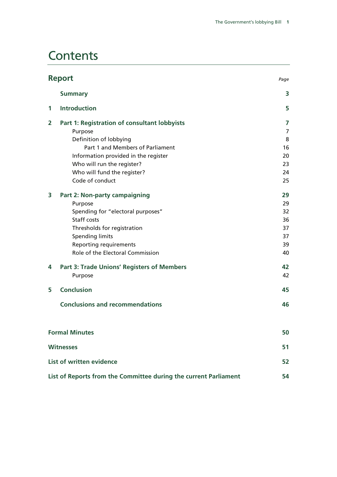## **Contents**

|   | <b>Report</b>                                                    | Page |
|---|------------------------------------------------------------------|------|
|   | <b>Summary</b>                                                   | 3    |
| 1 | <b>Introduction</b>                                              | 5    |
| 2 | Part 1: Registration of consultant lobbyists                     | 7    |
|   | Purpose                                                          | 7    |
|   | Definition of lobbying                                           | 8    |
|   | Part 1 and Members of Parliament                                 | 16   |
|   | Information provided in the register                             | 20   |
|   | Who will run the register?                                       | 23   |
|   | Who will fund the register?                                      | 24   |
|   | Code of conduct                                                  | 25   |
| 3 | <b>Part 2: Non-party campaigning</b>                             | 29   |
|   | Purpose                                                          | 29   |
|   | Spending for "electoral purposes"                                | 32   |
|   | Staff costs                                                      | 36   |
|   | Thresholds for registration                                      | 37   |
|   | <b>Spending limits</b>                                           | 37   |
|   | <b>Reporting requirements</b>                                    | 39   |
|   | Role of the Electoral Commission                                 | 40   |
| 4 | <b>Part 3: Trade Unions' Registers of Members</b>                | 42   |
|   | Purpose                                                          | 42   |
| 5 | <b>Conclusion</b>                                                | 45   |
|   | <b>Conclusions and recommendations</b>                           | 46   |
|   | <b>Formal Minutes</b>                                            | 50   |
|   | <b>Witnesses</b>                                                 | 51   |
|   | List of written evidence                                         | 52   |
|   |                                                                  |      |
|   | List of Reports from the Committee during the current Parliament | 54   |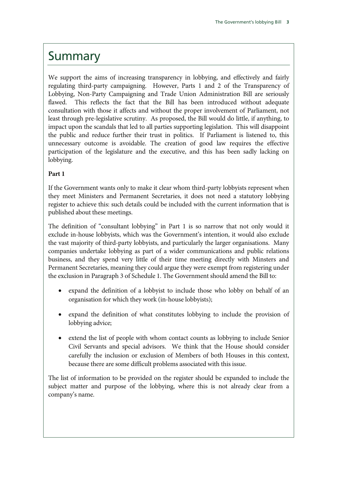### Summary

We support the aims of increasing transparency in lobbying, and effectively and fairly regulating third-party campaigning. However, Parts 1 and 2 of the Transparency of Lobbying, Non-Party Campaigning and Trade Union Administration Bill are seriously flawed. This reflects the fact that the Bill has been introduced without adequate consultation with those it affects and without the proper involvement of Parliament, not least through pre-legislative scrutiny. As proposed, the Bill would do little, if anything, to impact upon the scandals that led to all parties supporting legislation. This will disappoint the public and reduce further their trust in politics. If Parliament is listened to, this unnecessary outcome is avoidable. The creation of good law requires the effective participation of the legislature and the executive, and this has been sadly lacking on lobbying.

### **Part 1**

If the Government wants only to make it clear whom third-party lobbyists represent when they meet Ministers and Permanent Secretaries, it does not need a statutory lobbying register to achieve this: such details could be included with the current information that is published about these meetings.

The definition of "consultant lobbying" in Part 1 is so narrow that not only would it exclude in-house lobbyists, which was the Government's intention, it would also exclude the vast majority of third-party lobbyists, and particularly the larger organisations. Many companies undertake lobbying as part of a wider communications and public relations business, and they spend very little of their time meeting directly with Minsters and Permanent Secretaries, meaning they could argue they were exempt from registering under the exclusion in Paragraph 3 of Schedule 1. The Government should amend the Bill to:

- expand the definition of a lobbyist to include those who lobby on behalf of an organisation for which they work (in-house lobbyists);
- expand the definition of what constitutes lobbying to include the provision of lobbying advice;
- extend the list of people with whom contact counts as lobbying to include Senior Civil Servants and special advisors. We think that the House should consider carefully the inclusion or exclusion of Members of both Houses in this context, because there are some difficult problems associated with this issue.

The list of information to be provided on the register should be expanded to include the subject matter and purpose of the lobbying, where this is not already clear from a company's name.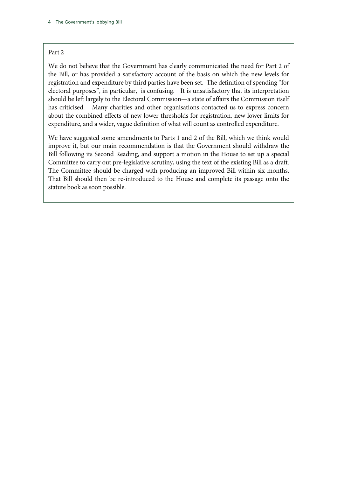#### Part 2

We do not believe that the Government has clearly communicated the need for Part 2 of the Bill, or has provided a satisfactory account of the basis on which the new levels for registration and expenditure by third parties have been set. The definition of spending "for electoral purposes", in particular, is confusing. It is unsatisfactory that its interpretation should be left largely to the Electoral Commission—a state of affairs the Commission itself has criticised. Many charities and other organisations contacted us to express concern about the combined effects of new lower thresholds for registration, new lower limits for expenditure, and a wider, vague definition of what will count as controlled expenditure.

We have suggested some amendments to Parts 1 and 2 of the Bill, which we think would improve it, but our main recommendation is that the Government should withdraw the Bill following its Second Reading, and support a motion in the House to set up a special Committee to carry out pre-legislative scrutiny, using the text of the existing Bill as a draft. The Committee should be charged with producing an improved Bill within six months. That Bill should then be re-introduced to the House and complete its passage onto the statute book as soon possible.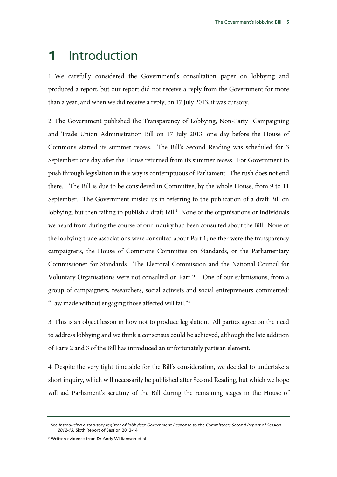### 1 Introduction

1. We carefully considered the Government's consultation paper on lobbying and produced a report, but our report did not receive a reply from the Government for more than a year, and when we did receive a reply, on 17 July 2013, it was cursory.

2. The Government published the Transparency of Lobbying, Non-Party Campaigning and Trade Union Administration Bill on 17 July 2013: one day before the House of Commons started its summer recess. The Bill's Second Reading was scheduled for 3 September: one day after the House returned from its summer recess. For Government to push through legislation in this way is contemptuous of Parliament. The rush does not end there. The Bill is due to be considered in Committee, by the whole House, from 9 to 11 September. The Government misled us in referring to the publication of a draft Bill on lobbying, but then failing to publish a draft Bill.<sup>1</sup> None of the organisations or individuals we heard from during the course of our inquiry had been consulted about the Bill. None of the lobbying trade associations were consulted about Part 1; neither were the transparency campaigners, the House of Commons Committee on Standards, or the Parliamentary Commissioner for Standards. The Electoral Commission and the National Council for Voluntary Organisations were not consulted on Part 2. One of our submissions, from a group of campaigners, researchers, social activists and social entrepreneurs commented: "Law made without engaging those affected will fail."2

3. This is an object lesson in how not to produce legislation. All parties agree on the need to address lobbying and we think a consensus could be achieved, although the late addition of Parts 2 and 3 of the Bill has introduced an unfortunately partisan element.

4. Despite the very tight timetable for the Bill's consideration, we decided to undertake a short inquiry, which will necessarily be published after Second Reading, but which we hope will aid Parliament's scrutiny of the Bill during the remaining stages in the House of

<sup>1</sup> See *Introducing a statutory register of lobbyists: Government Response to the Committee's Second Report of Session 2012-13,* Sixth Report of Session 2013-14

<sup>2</sup> Written evidence from Dr Andy Williamson et al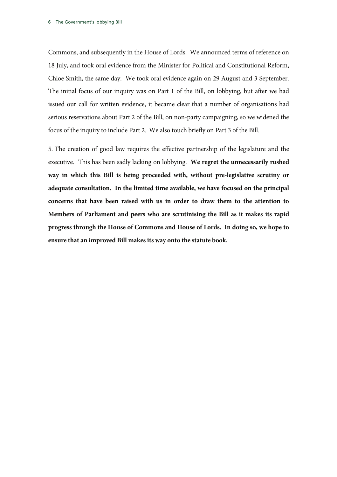Commons, and subsequently in the House of Lords. We announced terms of reference on 18 July, and took oral evidence from the Minister for Political and Constitutional Reform, Chloe Smith, the same day. We took oral evidence again on 29 August and 3 September. The initial focus of our inquiry was on Part 1 of the Bill, on lobbying, but after we had issued our call for written evidence, it became clear that a number of organisations had serious reservations about Part 2 of the Bill, on non-party campaigning, so we widened the focus of the inquiry to include Part 2. We also touch briefly on Part 3 of the Bill.

5. The creation of good law requires the effective partnership of the legislature and the executive. This has been sadly lacking on lobbying. **We regret the unnecessarily rushed way in which this Bill is being proceeded with, without pre-legislative scrutiny or adequate consultation. In the limited time available, we have focused on the principal concerns that have been raised with us in order to draw them to the attention to Members of Parliament and peers who are scrutinising the Bill as it makes its rapid progress through the House of Commons and House of Lords. In doing so, we hope to ensure that an improved Bill makes its way onto the statute book.**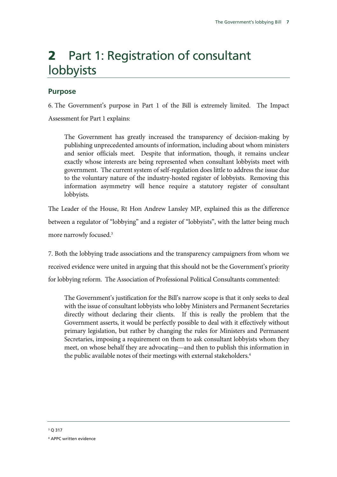# 2 Part 1: Registration of consultant lobbyists

### **Purpose**

6. The Government's purpose in Part 1 of the Bill is extremely limited. The Impact Assessment for Part 1 explains:

The Government has greatly increased the transparency of decision-making by publishing unprecedented amounts of information, including about whom ministers and senior officials meet. Despite that information, though, it remains unclear exactly whose interests are being represented when consultant lobbyists meet with government. The current system of self-regulation does little to address the issue due to the voluntary nature of the industry-hosted register of lobbyists. Removing this information asymmetry will hence require a statutory register of consultant lobbyists.

The Leader of the House, Rt Hon Andrew Lansley MP, explained this as the difference between a regulator of "lobbying" and a register of "lobbyists", with the latter being much more narrowly focused.3

7. Both the lobbying trade associations and the transparency campaigners from whom we received evidence were united in arguing that this should not be the Government's priority for lobbying reform. The Association of Professional Political Consultants commented:

The Government's justification for the Bill's narrow scope is that it only seeks to deal with the issue of consultant lobbyists who lobby Ministers and Permanent Secretaries directly without declaring their clients. If this is really the problem that the Government asserts, it would be perfectly possible to deal with it effectively without primary legislation, but rather by changing the rules for Ministers and Permanent Secretaries, imposing a requirement on them to ask consultant lobbyists whom they meet, on whose behalf they are advocating—and then to publish this information in the public available notes of their meetings with external stakeholders.<sup>4</sup>

<sup>4</sup> APPC written evidence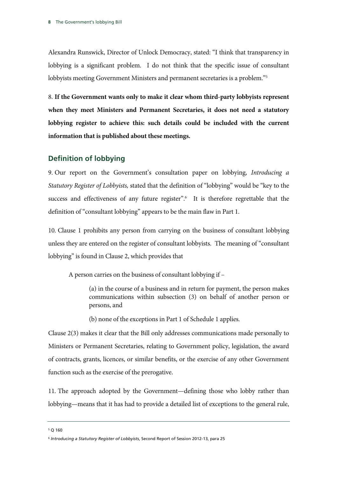Alexandra Runswick, Director of Unlock Democracy, stated: "I think that transparency in lobbying is a significant problem. I do not think that the specific issue of consultant lobbyists meeting Government Ministers and permanent secretaries is a problem."5

8. **If the Government wants only to make it clear whom third-party lobbyists represent when they meet Ministers and Permanent Secretaries, it does not need a statutory lobbying register to achieve this: such details could be included with the current information that is published about these meetings.**

### **Definition of lobbying**

9. Our report on the Government's consultation paper on lobbying, *Introducing a Statutory Register of Lobbyists,* stated that the definition of "lobbying" would be "key to the success and effectiveness of any future register".<sup>6</sup> It is therefore regrettable that the definition of "consultant lobbying" appears to be the main flaw in Part 1.

10. Clause 1 prohibits any person from carrying on the business of consultant lobbying unless they are entered on the register of consultant lobbyists. The meaning of "consultant lobbying" is found in Clause 2, which provides that

A person carries on the business of consultant lobbying if –

(a) in the course of a business and in return for payment, the person makes communications within subsection (3) on behalf of another person or persons, and

(b) none of the exceptions in Part 1 of Schedule 1 applies.

Clause 2(3) makes it clear that the Bill only addresses communications made personally to Ministers or Permanent Secretaries, relating to Government policy, legislation, the award of contracts, grants, licences, or similar benefits, or the exercise of any other Government function such as the exercise of the prerogative.

11. The approach adopted by the Government—defining those who lobby rather than lobbying—means that it has had to provide a detailed list of exceptions to the general rule,

5 Q 160

<sup>6</sup> *Introducing a Statutory Register of Lobbyists*, Second Report of Session 2012-13, para 25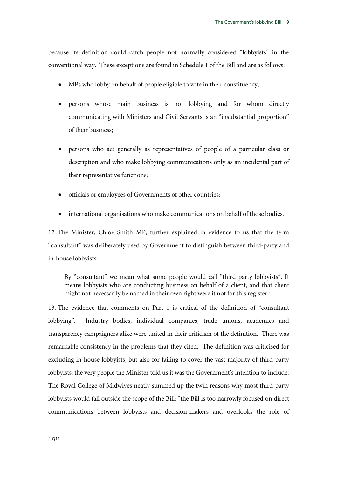because its definition could catch people not normally considered "lobbyists" in the conventional way. These exceptions are found in Schedule 1 of the Bill and are as follows:

- MPs who lobby on behalf of people eligible to vote in their constituency;
- persons whose main business is not lobbying and for whom directly communicating with Ministers and Civil Servants is an "insubstantial proportion" of their business;
- persons who act generally as representatives of people of a particular class or description and who make lobbying communications only as an incidental part of their representative functions;
- officials or employees of Governments of other countries;
- international organisations who make communications on behalf of those bodies.

12. The Minister, Chloe Smith MP, further explained in evidence to us that the term "consultant" was deliberately used by Government to distinguish between third-party and in-house lobbyists:

By "consultant" we mean what some people would call "third party lobbyists". It means lobbyists who are conducting business on behalf of a client, and that client might not necessarily be named in their own right were it not for this register.<sup>7</sup>

13. The evidence that comments on Part 1 is critical of the definition of "consultant lobbying". Industry bodies, individual companies, trade unions, academics and transparency campaigners alike were united in their criticism of the definition. There was remarkable consistency in the problems that they cited. The definition was criticised for excluding in-house lobbyists, but also for failing to cover the vast majority of third-party lobbyists: the very people the Minister told us it was the Government's intention to include. The Royal College of Midwives neatly summed up the twin reasons why most third-party lobbyists would fall outside the scope of the Bill: "the Bill is too narrowly focused on direct communications between lobbyists and decision-makers and overlooks the role of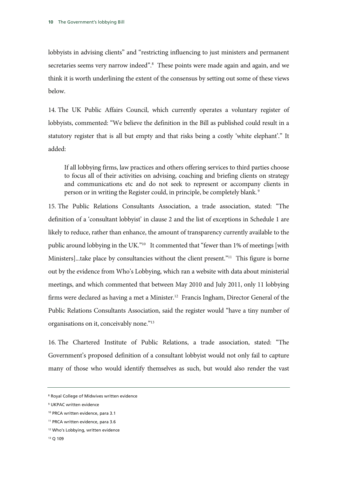lobbyists in advising clients" and "restricting influencing to just ministers and permanent secretaries seems very narrow indeed".<sup>8</sup> These points were made again and again, and we think it is worth underlining the extent of the consensus by setting out some of these views below.

14. The UK Public Affairs Council, which currently operates a voluntary register of lobbyists, commented: "We believe the definition in the Bill as published could result in a statutory register that is all but empty and that risks being a costly 'white elephant'." It added:

If all lobbying firms, law practices and others offering services to third parties choose to focus all of their activities on advising, coaching and briefing clients on strategy and communications etc and do not seek to represent or accompany clients in person or in writing the Register could, in principle, be completely blank. 9

15. The Public Relations Consultants Association, a trade association, stated: "The definition of a 'consultant lobbyist' in clause 2 and the list of exceptions in Schedule 1 are likely to reduce, rather than enhance, the amount of transparency currently available to the public around lobbying in the UK."10 It commented that "fewer than 1% of meetings [with Ministers]...take place by consultancies without the client present."<sup>11</sup> This figure is borne out by the evidence from Who's Lobbying, which ran a website with data about ministerial meetings, and which commented that between May 2010 and July 2011, only 11 lobbying firms were declared as having a met a Minister.<sup>12</sup> Francis Ingham, Director General of the Public Relations Consultants Association, said the register would "have a tiny number of organisations on it, conceivably none."<sup>13</sup>

16. The Chartered Institute of Public Relations, a trade association, stated: "The Government's proposed definition of a consultant lobbyist would not only fail to capture many of those who would identify themselves as such, but would also render the vast

<sup>8</sup> Royal College of Midwives written evidence

<sup>9</sup> UKPAC written evidence

<sup>10</sup> PRCA written evidence, para 3.1

<sup>11</sup> PRCA written evidence, para 3.6

<sup>&</sup>lt;sup>12</sup> Who's Lobbying, written evidence

<sup>13</sup> Q 109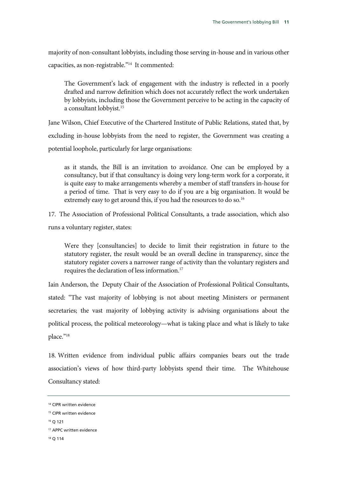majority of non-consultant lobbyists, including those serving in-house and in various other capacities, as non-registrable."14 It commented:

The Government's lack of engagement with the industry is reflected in a poorly drafted and narrow definition which does not accurately reflect the work undertaken by lobbyists, including those the Government perceive to be acting in the capacity of a consultant lobbyist.15

Jane Wilson, Chief Executive of the Chartered Institute of Public Relations, stated that, by excluding in-house lobbyists from the need to register, the Government was creating a potential loophole, particularly for large organisations:

as it stands, the Bill is an invitation to avoidance. One can be employed by a consultancy, but if that consultancy is doing very long-term work for a corporate, it is quite easy to make arrangements whereby a member of staff transfers in-house for a period of time. That is very easy to do if you are a big organisation. It would be extremely easy to get around this, if you had the resources to do so.<sup>16</sup>

17. The Association of Professional Political Consultants, a trade association, which also runs a voluntary register, states:

Were they [consultancies] to decide to limit their registration in future to the statutory register, the result would be an overall decline in transparency, since the statutory register covers a narrower range of activity than the voluntary registers and requires the declaration of less information.17

Iain Anderson, the Deputy Chair of the Association of Professional Political Consultants, stated: "The vast majority of lobbying is not about meeting Ministers or permanent secretaries; the vast majority of lobbying activity is advising organisations about the political process, the political meteorology—what is taking place and what is likely to take place."<sup>18</sup>

18. Written evidence from individual public affairs companies bears out the trade association's views of how third-party lobbyists spend their time. The Whitehouse Consultancy stated:

16 Q 121

<sup>&</sup>lt;sup>14</sup> CIPR written evidence

<sup>&</sup>lt;sup>15</sup> CIPR written evidence

<sup>17</sup> APPC written evidence

<sup>18</sup> Q 114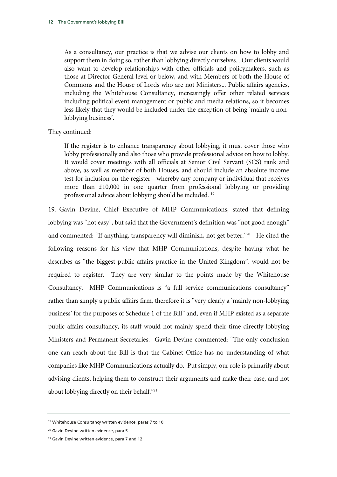As a consultancy, our practice is that we advise our clients on how to lobby and support them in doing so, rather than lobbying directly ourselves... Our clients would also want to develop relationships with other officials and policymakers, such as those at Director-General level or below, and with Members of both the House of Commons and the House of Lords who are not Ministers... Public affairs agencies, including the Whitehouse Consultancy, increasingly offer other related services including political event management or public and media relations, so it becomes less likely that they would be included under the exception of being 'mainly a nonlobbying business'.

They continued:

If the register is to enhance transparency about lobbying, it must cover those who lobby professionally and also those who provide professional advice on how to lobby. It would cover meetings with all officials at Senior Civil Servant (SCS) rank and above, as well as member of both Houses, and should include an absolute income test for inclusion on the register—whereby any company or individual that receives more than £10,000 in one quarter from professional lobbying or providing professional advice about lobbying should be included. 19

19. Gavin Devine, Chief Executive of MHP Communications, stated that defining lobbying was "not easy", but said that the Government's definition was "not good enough" and commented: "If anything, transparency will diminish, not get better."<sup>20</sup> He cited the following reasons for his view that MHP Communications, despite having what he describes as "the biggest public affairs practice in the United Kingdom", would not be required to register. They are very similar to the points made by the Whitehouse Consultancy. MHP Communications is "a full service communications consultancy" rather than simply a public affairs firm, therefore it is "very clearly a 'mainly non-lobbying business' for the purposes of Schedule 1 of the Bill" and, even if MHP existed as a separate public affairs consultancy, its staff would not mainly spend their time directly lobbying Ministers and Permanent Secretaries. Gavin Devine commented: "The only conclusion one can reach about the Bill is that the Cabinet Office has no understanding of what companies like MHP Communications actually do. Put simply, our role is primarily about advising clients, helping them to construct their arguments and make their case, and not about lobbying directly on their behalf."21

<sup>&</sup>lt;sup>19</sup> Whitehouse Consultancy written evidence, paras 7 to 10

<sup>&</sup>lt;sup>20</sup> Gavin Devine written evidence, para 5

<sup>&</sup>lt;sup>21</sup> Gavin Devine written evidence, para 7 and 12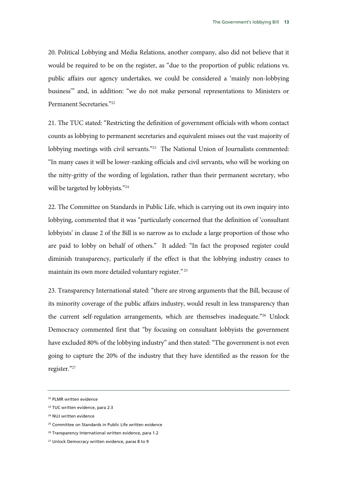20. Political Lobbying and Media Relations, another company, also did not believe that it would be required to be on the register, as "due to the proportion of public relations vs. public affairs our agency undertakes, we could be considered a 'mainly non-lobbying business'" and, in addition: "we do not make personal representations to Ministers or Permanent Secretaries."22

21. The TUC stated: "Restricting the definition of government officials with whom contact counts as lobbying to permanent secretaries and equivalent misses out the vast majority of lobbying meetings with civil servants."<sup>23</sup> The National Union of Journalists commented: "In many cases it will be lower-ranking officials and civil servants, who will be working on the nitty-gritty of the wording of legislation, rather than their permanent secretary, who will be targeted by lobbyists."<sup>24</sup>

22. The Committee on Standards in Public Life, which is carrying out its own inquiry into lobbying, commented that it was "particularly concerned that the definition of 'consultant lobbyists' in clause 2 of the Bill is so narrow as to exclude a large proportion of those who are paid to lobby on behalf of others." It added: "In fact the proposed register could diminish transparency, particularly if the effect is that the lobbying industry ceases to maintain its own more detailed voluntary register." 25

23. Transparency International stated: "there are strong arguments that the Bill, because of its minority coverage of the public affairs industry, would result in less transparency than the current self-regulation arrangements, which are themselves inadequate."26 Unlock Democracy commented first that "by focusing on consultant lobbyists the government have excluded 80% of the lobbying industry" and then stated: "The government is not even going to capture the 20% of the industry that they have identified as the reason for the register."27

<sup>22</sup> PLMR written evidence

<sup>23</sup> TUC written evidence, para 2.3

<sup>24</sup> NUJ written evidence

<sup>&</sup>lt;sup>25</sup> Committee on Standards in Public Life written evidence

<sup>&</sup>lt;sup>26</sup> Transparency International written evidence, para 1.2

<sup>&</sup>lt;sup>27</sup> Unlock Democracy written evidence, paras 8 to 9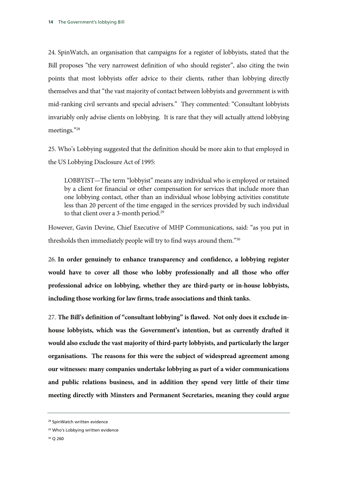24. SpinWatch, an organisation that campaigns for a register of lobbyists, stated that the Bill proposes "the very narrowest definition of who should register", also citing the twin points that most lobbyists offer advice to their clients, rather than lobbying directly themselves and that "the vast majority of contact between lobbyists and government is with mid-ranking civil servants and special advisers." They commented: "Consultant lobbyists invariably only advise clients on lobbying. It is rare that they will actually attend lobbying meetings."28

25. Who's Lobbying suggested that the definition should be more akin to that employed in the US Lobbying Disclosure Act of 1995:

LOBBYIST—The term "lobbyist" means any individual who is employed or retained by a client for financial or other compensation for services that include more than one lobbying contact, other than an individual whose lobbying activities constitute less than 20 percent of the time engaged in the services provided by such individual to that client over a 3-month period.<sup>29</sup>

However, Gavin Devine, Chief Executive of MHP Communications, said: "as you put in thresholds then immediately people will try to find ways around them."30

26. **In order genuinely to enhance transparency and confidence, a lobbying register would have to cover all those who lobby professionally and all those who offer professional advice on lobbying, whether they are third-party or in-house lobbyists, including those working for law firms, trade associations and think tanks.** 

27. **The Bill's definition of "consultant lobbying" is flawed. Not only does it exclude inhouse lobbyists, which was the Government's intention, but as currently drafted it would also exclude the vast majority of third-party lobbyists, and particularly the larger organisations. The reasons for this were the subject of widespread agreement among our witnesses: many companies undertake lobbying as part of a wider communications and public relations business, and in addition they spend very little of their time meeting directly with Minsters and Permanent Secretaries, meaning they could argue** 

<sup>28</sup> SpinWatch written evidence

<sup>29</sup> Who's Lobbying written evidence

<sup>30</sup> Q 260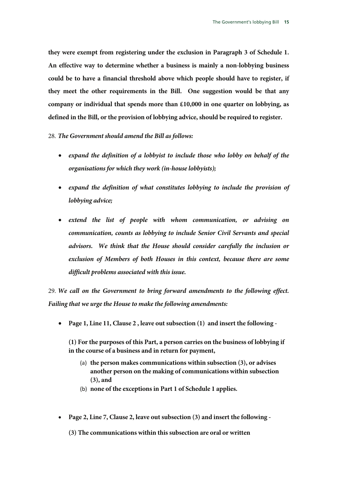**they were exempt from registering under the exclusion in Paragraph 3 of Schedule 1. An effective way to determine whether a business is mainly a non-lobbying business could be to have a financial threshold above which people should have to register, if they meet the other requirements in the Bill. One suggestion would be that any company or individual that spends more than £10,000 in one quarter on lobbying, as defined in the Bill, or the provision of lobbying advice, should be required to register.**

#### 28. *The Government should amend the Bill as follows:*

- *expand the definition of a lobbyist to include those who lobby on behalf of the organisations for which they work (in-house lobbyists);*
- *expand the definition of what constitutes lobbying to include the provision of lobbying advice;*
- *extend the list of people with whom communication, or advising on communication, counts as lobbying to include Senior Civil Servants and special advisors. We think that the House should consider carefully the inclusion or exclusion of Members of both Houses in this context, because there are some difficult problems associated with this issue.*

29. *We call on the Government to bring forward amendments to the following effect. Failing that we urge the House to make the following amendments:*

• **Page 1, Line 11, Clause 2 , leave out subsection (1) and insert the following -** 

**(1) For the purposes of this Part, a person carries on the business of lobbying if in the course of a business and in return for payment,** 

- (a) **the person makes communications within subsection (3), or advises another person on the making of communications within subsection (3), and**
- (b) **none of the exceptions in Part 1 of Schedule 1 applies.**
- **Page 2, Line 7, Clause 2, leave out subsection (3) and insert the following**

**(3) The communications within this subsection are oral or written**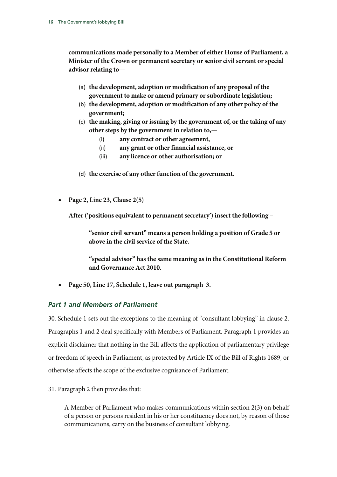**communications made personally to a Member of either House of Parliament, a Minister of the Crown or permanent secretary or senior civil servant or special advisor relating to—**

- (a) **the development, adoption or modification of any proposal of the government to make or amend primary or subordinate legislation;**
- (b) **the development, adoption or modification of any other policy of the government;**
- (c) **the making, giving or issuing by the government of, or the taking of any other steps by the government in relation to,—**
	- (i) **any contract or other agreement,**
	- (ii) **any grant or other financial assistance, or**
	- (iii) **any licence or other authorisation; or**
- (d) **the exercise of any other function of the government.**
- **Page 2, Line 23, Clause 2(5)**

**After ('positions equivalent to permanent secretary') insert the following –** 

**"senior civil servant" means a person holding a position of Grade 5 or above in the civil service of the State.**

**"special advisor" has the same meaning as in the Constitutional Reform and Governance Act 2010.**

• **Page 50, Line 17, Schedule 1, leave out paragraph 3.**

### *Part 1 and Members of Parliament*

30. Schedule 1 sets out the exceptions to the meaning of "consultant lobbying" in clause 2. Paragraphs 1 and 2 deal specifically with Members of Parliament. Paragraph 1 provides an explicit disclaimer that nothing in the Bill affects the application of parliamentary privilege or freedom of speech in Parliament, as protected by Article IX of the Bill of Rights 1689, or otherwise affects the scope of the exclusive cognisance of Parliament.

31. Paragraph 2 then provides that:

A Member of Parliament who makes communications within section 2(3) on behalf of a person or persons resident in his or her constituency does not, by reason of those communications, carry on the business of consultant lobbying.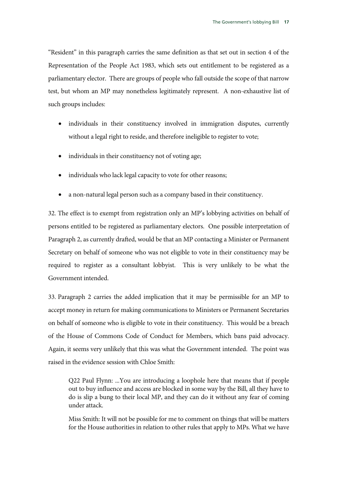"Resident" in this paragraph carries the same definition as that set out in section 4 of the Representation of the People Act 1983, which sets out entitlement to be registered as a parliamentary elector. There are groups of people who fall outside the scope of that narrow test, but whom an MP may nonetheless legitimately represent. A non-exhaustive list of such groups includes:

- individuals in their constituency involved in immigration disputes, currently without a legal right to reside, and therefore ineligible to register to vote;
- individuals in their constituency not of voting age;
- individuals who lack legal capacity to vote for other reasons;
- a non-natural legal person such as a company based in their constituency.

32. The effect is to exempt from registration only an MP's lobbying activities on behalf of persons entitled to be registered as parliamentary electors. One possible interpretation of Paragraph 2, as currently drafted, would be that an MP contacting a Minister or Permanent Secretary on behalf of someone who was not eligible to vote in their constituency may be required to register as a consultant lobbyist. This is very unlikely to be what the Government intended.

33. Paragraph 2 carries the added implication that it may be permissible for an MP to accept money in return for making communications to Ministers or Permanent Secretaries on behalf of someone who is eligible to vote in their constituency. This would be a breach of the House of Commons Code of Conduct for Members, which bans paid advocacy. Again, it seems very unlikely that this was what the Government intended. The point was raised in the evidence session with Chloe Smith:

Q22 Paul Flynn: ...You are introducing a loophole here that means that if people out to buy influence and access are blocked in some way by the Bill, all they have to do is slip a bung to their local MP, and they can do it without any fear of coming under attack.

Miss Smith: It will not be possible for me to comment on things that will be matters for the House authorities in relation to other rules that apply to MPs. What we have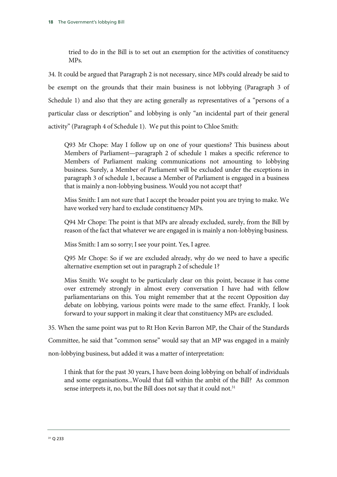tried to do in the Bill is to set out an exemption for the activities of constituency MPs.

34. It could be argued that Paragraph 2 is not necessary, since MPs could already be said to be exempt on the grounds that their main business is not lobbying (Paragraph 3 of Schedule 1) and also that they are acting generally as representatives of a "persons of a particular class or description" and lobbying is only "an incidental part of their general activity" (Paragraph 4 of Schedule 1). We put this point to Chloe Smith:

Q93 Mr Chope: May I follow up on one of your questions? This business about Members of Parliament—paragraph 2 of schedule 1 makes a specific reference to Members of Parliament making communications not amounting to lobbying business. Surely, a Member of Parliament will be excluded under the exceptions in paragraph 3 of schedule 1, because a Member of Parliament is engaged in a business that is mainly a non-lobbying business. Would you not accept that?

Miss Smith: I am not sure that I accept the broader point you are trying to make. We have worked very hard to exclude constituency MPs.

Q94 Mr Chope: The point is that MPs are already excluded, surely, from the Bill by reason of the fact that whatever we are engaged in is mainly a non-lobbying business.

Miss Smith: I am so sorry; I see your point. Yes, I agree.

Q95 Mr Chope: So if we are excluded already, why do we need to have a specific alternative exemption set out in paragraph 2 of schedule 1?

Miss Smith: We sought to be particularly clear on this point, because it has come over extremely strongly in almost every conversation I have had with fellow parliamentarians on this. You might remember that at the recent Opposition day debate on lobbying, various points were made to the same effect. Frankly, I look forward to your support in making it clear that constituency MPs are excluded.

35. When the same point was put to Rt Hon Kevin Barron MP, the Chair of the Standards

Committee, he said that "common sense" would say that an MP was engaged in a mainly

non-lobbying business, but added it was a matter of interpretation:

I think that for the past 30 years, I have been doing lobbying on behalf of individuals and some organisations...Would that fall within the ambit of the Bill? As common sense interprets it, no, but the Bill does not say that it could not.<sup>31</sup>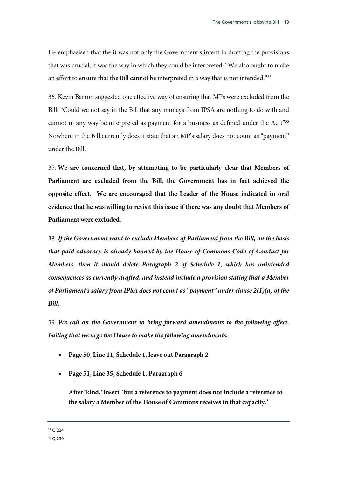He emphasised that the it was not only the Government's intent in drafting the provisions that was crucial; it was the way in which they could be interpreted: "We also ought to make an effort to ensure that the Bill cannot be interpreted in a way that is not intended."<sup>32</sup>

36. Kevin Barron suggested one effective way of ensuring that MPs were excluded from the Bill: "Could we not say in the Bill that any moneys from IPSA are nothing to do with and cannot in any way be interpreted as payment for a business as defined under the Act?"33 Nowhere in the Bill currently does it state that an MP's salary does not count as "payment" under the Bill.

37. **We are concerned that, by attempting to be particularly clear that Members of Parliament are excluded from the Bill, the Government has in fact achieved the opposite effect. We are encouraged that the Leader of the House indicated in oral evidence that he was willing to revisit this issue if there was any doubt that Members of Parliament were excluded.** 

38. *If the Government want to exclude Members of Parliament from the Bill, on the basis that paid advocacy is already banned by the House of Commons Code of Conduct for Members, then it should delete Paragraph 2 of Schedule 1, which has unintended consequences as currently drafted, and instead include a provision stating that a Member of Parliament's salary from IPSA does not count as "payment" under clause 2(1)(a) of the Bill.* 

39. *We call on the Government to bring forward amendments to the following effect. Failing that we urge the House to make the following amendments:*

- **Page 50, Line 11, Schedule 1, leave out Paragraph 2**
- **Page 51, Line 35, Schedule 1, Paragraph 6**

**After 'kind,' insert 'but a reference to payment does not include a reference to the salary a Member of the House of Commons receives in that capacity.'**

32 Q 234

33 Q 230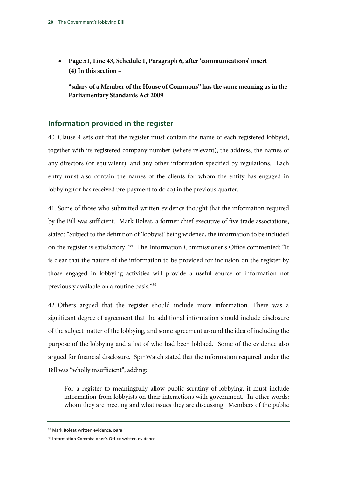• **Page 51, Line 43, Schedule 1, Paragraph 6, after 'communications' insert (4) In this section –** 

**"salary of a Member of the House of Commons" has the same meaning as in the Parliamentary Standards Act 2009**

#### **Information provided in the register**

40. Clause 4 sets out that the register must contain the name of each registered lobbyist, together with its registered company number (where relevant), the address, the names of any directors (or equivalent), and any other information specified by regulations. Each entry must also contain the names of the clients for whom the entity has engaged in lobbying (or has received pre-payment to do so) in the previous quarter.

41. Some of those who submitted written evidence thought that the information required by the Bill was sufficient. Mark Boleat, a former chief executive of five trade associations, stated: "Subject to the definition of 'lobbyist' being widened, the information to be included on the register is satisfactory."34 The Information Commissioner's Office commented: "It is clear that the nature of the information to be provided for inclusion on the register by those engaged in lobbying activities will provide a useful source of information not previously available on a routine basis."35

42. Others argued that the register should include more information. There was a significant degree of agreement that the additional information should include disclosure of the subject matter of the lobbying, and some agreement around the idea of including the purpose of the lobbying and a list of who had been lobbied. Some of the evidence also argued for financial disclosure. SpinWatch stated that the information required under the Bill was "wholly insufficient", adding:

For a register to meaningfully allow public scrutiny of lobbying, it must include information from lobbyists on their interactions with government. In other words: whom they are meeting and what issues they are discussing. Members of the public

<sup>34</sup> Mark Boleat written evidence, para 1

<sup>&</sup>lt;sup>35</sup> Information Commissioner's Office written evidence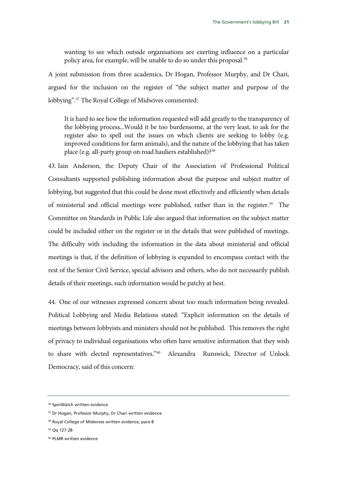wanting to see which outside organisations are exerting influence on a particular policy area, for example, will be unable to do so under this proposal.<sup>36</sup>

A joint submission from three academics, Dr Hogan, Professor Murphy, and Dr Chari, argued for the inclusion on the register of "the subject matter and purpose of the lobbying".37 The Royal College of Midwives commented:

It is hard to see how the information requested will add greatly to the transparency of the lobbying process...Would it be too burdensome, at the very least, to ask for the register also to spell out the issues on which clients are seeking to lobby (e.g. improved conditions for farm animals), and the nature of the lobbying that has taken place (e.g. all-party group on road hauliers established)?38

43. Iain Anderson, the Deputy Chair of the Association of Professional Political Consultants supported publishing information about the purpose and subject matter of lobbying, but suggested that this could be done most effectively and efficiently when details of ministerial and official meetings were published, rather than in the register.<sup>39</sup> The Committee on Standards in Public Life also argued that information on the subject matter could be included either on the register or in the details that were published of meetings. The difficulty with including the information in the data about ministerial and official meetings is that, if the definition of lobbying is expanded to encompass contact with the rest of the Senior Civil Service, special advisors and others, who do not necessarily publish details of their meetings, such information would be patchy at best.

44. One of our witnesses expressed concern about too much information being revealed. Political Lobbying and Media Relations stated: "Explicit information on the details of meetings between lobbyists and ministers should not be published. This removes the right of privacy to individual organisations who often have sensitive information that they wish to share with elected representatives."40 Alexandra Runswick, Director of Unlock Democracy, said of this concern:

39 Qq 127-28

<sup>&</sup>lt;sup>36</sup> SpinWatch written evidence

<sup>&</sup>lt;sup>37</sup> Dr Hogan, Professor Murphy, Dr Chari written evidence

<sup>&</sup>lt;sup>38</sup> Royal College of Midwives written evidence, para 8

<sup>40</sup> PLMR written evidence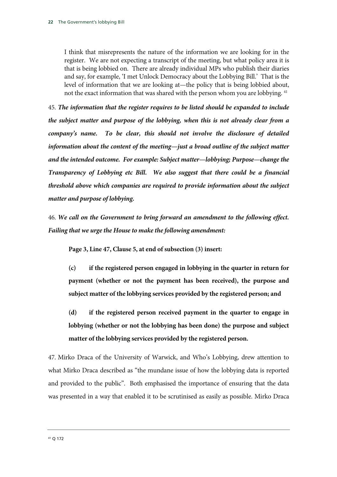I think that misrepresents the nature of the information we are looking for in the register. We are not expecting a transcript of the meeting, but what policy area it is that is being lobbied on. There are already individual MPs who publish their diaries and say, for example, 'I met Unlock Democracy about the Lobbying Bill.' That is the level of information that we are looking at—the policy that is being lobbied about, not the exact information that was shared with the person whom you are lobbying.<sup>41</sup>

45. *The information that the register requires to be listed should be expanded to include the subject matter and purpose of the lobbying, when this is not already clear from a company's name. To be clear, this should not involve the disclosure of detailed information about the content of the meeting—just a broad outline of the subject matter and the intended outcome. For example: Subject matter—lobbying; Purpose—change the Transparency of Lobbying etc Bill. We also suggest that there could be a financial threshold above which companies are required to provide information about the subject matter and purpose of lobbying.*

46. *We call on the Government to bring forward an amendment to the following effect. Failing that we urge the House to make the following amendment:*

**Page 3, Line 47, Clause 5, at end of subsection (3) insert:** 

**(c) if the registered person engaged in lobbying in the quarter in return for payment (whether or not the payment has been received), the purpose and subject matter of the lobbying services provided by the registered person; and** 

**(d) if the registered person received payment in the quarter to engage in lobbying (whether or not the lobbying has been done) the purpose and subject matter of the lobbying services provided by the registered person.** 

47. Mirko Draca of the University of Warwick, and Who's Lobbying, drew attention to what Mirko Draca described as "the mundane issue of how the lobbying data is reported and provided to the public". Both emphasised the importance of ensuring that the data was presented in a way that enabled it to be scrutinised as easily as possible. Mirko Draca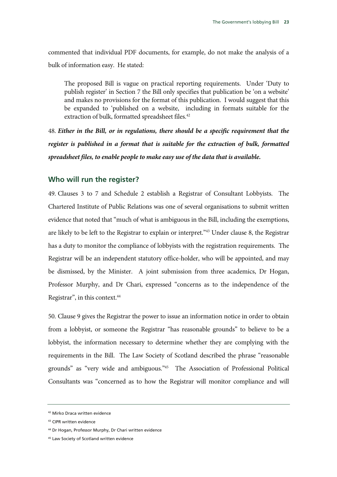commented that individual PDF documents, for example, do not make the analysis of a bulk of information easy. He stated:

The proposed Bill is vague on practical reporting requirements. Under 'Duty to publish register' in Section 7 the Bill only specifies that publication be 'on a website' and makes no provisions for the format of this publication. I would suggest that this be expanded to 'published on a website, including in formats suitable for the extraction of bulk, formatted spreadsheet files.<sup>42</sup>

48. *Either in the Bill, or in regulations, there should be a specific requirement that the register is published in a format that is suitable for the extraction of bulk, formatted spreadsheet files, to enable people to make easy use of the data that is available.* 

#### **Who will run the register?**

49. Clauses 3 to 7 and Schedule 2 establish a Registrar of Consultant Lobbyists. The Chartered Institute of Public Relations was one of several organisations to submit written evidence that noted that "much of what is ambiguous in the Bill, including the exemptions, are likely to be left to the Registrar to explain or interpret."43 Under clause 8, the Registrar has a duty to monitor the compliance of lobbyists with the registration requirements. The Registrar will be an independent statutory office-holder, who will be appointed, and may be dismissed, by the Minister. A joint submission from three academics, Dr Hogan, Professor Murphy, and Dr Chari, expressed "concerns as to the independence of the Registrar", in this context.<sup>44</sup>

50. Clause 9 gives the Registrar the power to issue an information notice in order to obtain from a lobbyist, or someone the Registrar "has reasonable grounds" to believe to be a lobbyist, the information necessary to determine whether they are complying with the requirements in the Bill. The Law Society of Scotland described the phrase "reasonable grounds" as "very wide and ambiguous."45 The Association of Professional Political Consultants was "concerned as to how the Registrar will monitor compliance and will

<sup>42</sup> Mirko Draca written evidence

<sup>43</sup> CIPR written evidence

<sup>44</sup> Dr Hogan, Professor Murphy, Dr Chari written evidence

<sup>45</sup> Law Society of Scotland written evidence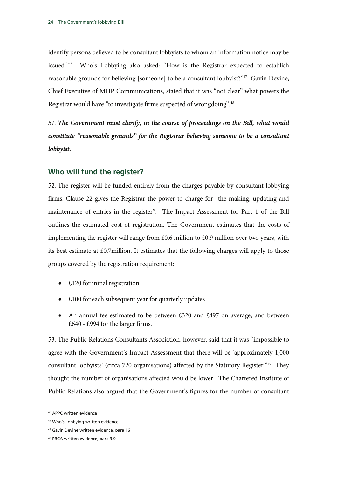identify persons believed to be consultant lobbyists to whom an information notice may be issued."46 Who's Lobbying also asked: "How is the Registrar expected to establish reasonable grounds for believing [someone] to be a consultant lobbyist?"47 Gavin Devine, Chief Executive of MHP Communications, stated that it was "not clear" what powers the Registrar would have "to investigate firms suspected of wrongdoing".48

*51. The Government must clarify, in the course of proceedings on the Bill, what would constitute "reasonable grounds" for the Registrar believing someone to be a consultant lobbyist.* 

#### **Who will fund the register?**

52. The register will be funded entirely from the charges payable by consultant lobbying firms. Clause 22 gives the Registrar the power to charge for "the making, updating and maintenance of entries in the register". The Impact Assessment for Part 1 of the Bill outlines the estimated cost of registration. The Government estimates that the costs of implementing the register will range from  $£0.6$  million to  $£0.9$  million over two years, with its best estimate at £0.7million. It estimates that the following charges will apply to those groups covered by the registration requirement:

- £120 for initial registration
- £100 for each subsequent year for quarterly updates
- An annual fee estimated to be between £320 and £497 on average, and between £640 - £994 for the larger firms.

53. The Public Relations Consultants Association, however, said that it was "impossible to agree with the Government's Impact Assessment that there will be 'approximately 1,000 consultant lobbyists' (circa 720 organisations) affected by the Statutory Register."49 They thought the number of organisations affected would be lower. The Chartered Institute of Public Relations also argued that the Government's figures for the number of consultant

<sup>46</sup> APPC written evidence

<sup>47</sup> Who's Lobbying written evidence

<sup>48</sup> Gavin Devine written evidence, para 16

<sup>49</sup> PRCA written evidence, para 3.9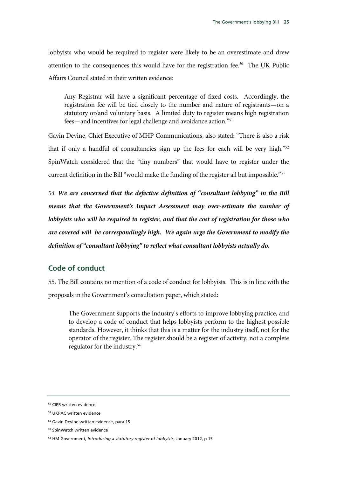lobbyists who would be required to register were likely to be an overestimate and drew attention to the consequences this would have for the registration fee.<sup>50</sup> The UK Public Affairs Council stated in their written evidence:

Any Registrar will have a significant percentage of fixed costs. Accordingly, the registration fee will be tied closely to the number and nature of registrants—on a statutory or/and voluntary basis. A limited duty to register means high registration fees—and incentives for legal challenge and avoidance action."51

Gavin Devine, Chief Executive of MHP Communications, also stated: "There is also a risk that if only a handful of consultancies sign up the fees for each will be very high."52 SpinWatch considered that the "tiny numbers" that would have to register under the current definition in the Bill "would make the funding of the register all but impossible."<sup>53</sup>

*54. We are concerned that the defective definition of "consultant lobbying" in the Bill means that the Government's Impact Assessment may over-estimate the number of lobbyists who will be required to register, and that the cost of registration for those who are covered will be correspondingly high. We again urge the Government to modify the definition of "consultant lobbying" to reflect what consultant lobbyists actually do.*

### **Code of conduct**

55. The Bill contains no mention of a code of conduct for lobbyists. This is in line with the proposals in the Government's consultation paper, which stated:

The Government supports the industry's efforts to improve lobbying practice, and to develop a code of conduct that helps lobbyists perform to the highest possible standards. However, it thinks that this is a matter for the industry itself, not for the operator of the register. The register should be a register of activity, not a complete regulator for the industry.54

<sup>50</sup> CIPR written evidence

<sup>51</sup> UKPAC written evidence

<sup>52</sup> Gavin Devine written evidence, para 15

<sup>53</sup> SpinWatch written evidence

<sup>54</sup> HM Government, *Introducing a statutory register of lobbyists*, January 2012, p 15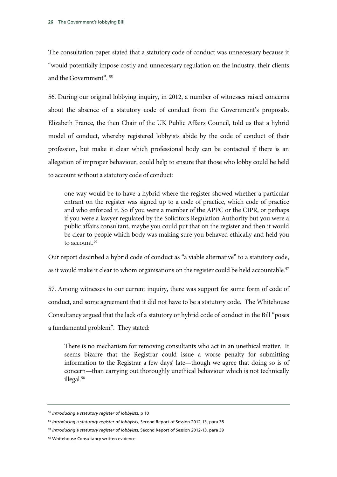The consultation paper stated that a statutory code of conduct was unnecessary because it "would potentially impose costly and unnecessary regulation on the industry, their clients and the Government". 55

56. During our original lobbying inquiry, in 2012, a number of witnesses raised concerns about the absence of a statutory code of conduct from the Government's proposals. Elizabeth France, the then Chair of the UK Public Affairs Council, told us that a hybrid model of conduct, whereby registered lobbyists abide by the code of conduct of their profession, but make it clear which professional body can be contacted if there is an allegation of improper behaviour, could help to ensure that those who lobby could be held to account without a statutory code of conduct:

one way would be to have a hybrid where the register showed whether a particular entrant on the register was signed up to a code of practice, which code of practice and who enforced it. So if you were a member of the APPC or the CIPR, or perhaps if you were a lawyer regulated by the Solicitors Regulation Authority but you were a public affairs consultant, maybe you could put that on the register and then it would be clear to people which body was making sure you behaved ethically and held you to account.<sup>56</sup>

Our report described a hybrid code of conduct as "a viable alternative" to a statutory code, as it would make it clear to whom organisations on the register could be held accountable.<sup>57</sup>

57. Among witnesses to our current inquiry, there was support for some form of code of conduct, and some agreement that it did not have to be a statutory code. The Whitehouse Consultancy argued that the lack of a statutory or hybrid code of conduct in the Bill "poses a fundamental problem". They stated:

There is no mechanism for removing consultants who act in an unethical matter. It seems bizarre that the Registrar could issue a worse penalty for submitting information to the Registrar a few days' late—though we agree that doing so is of concern—than carrying out thoroughly unethical behaviour which is not technically illegal.58

<sup>55</sup> *Introducing a statutory register of lobbyists,* p 10

<sup>56</sup> *Introducing a statutory register of lobbyists,* Second Report of Session 2012-13, para 38

<sup>57</sup> *Introducing a statutory register of lobbyists*, Second Report of Session 2012-13, para 39

<sup>58</sup> Whitehouse Consultancy written evidence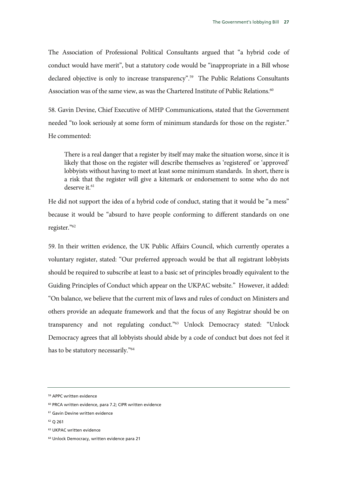The Association of Professional Political Consultants argued that "a hybrid code of conduct would have merit", but a statutory code would be "inappropriate in a Bill whose declared objective is only to increase transparency".<sup>59</sup> The Public Relations Consultants Association was of the same view, as was the Chartered Institute of Public Relations.<sup>60</sup>

58. Gavin Devine, Chief Executive of MHP Communications, stated that the Government needed "to look seriously at some form of minimum standards for those on the register." He commented:

There is a real danger that a register by itself may make the situation worse, since it is likely that those on the register will describe themselves as 'registered' or 'approved' lobbyists without having to meet at least some minimum standards. In short, there is a risk that the register will give a kitemark or endorsement to some who do not deserve it.<sup>61</sup>

He did not support the idea of a hybrid code of conduct, stating that it would be "a mess" because it would be "absurd to have people conforming to different standards on one register."62

59. In their written evidence, the UK Public Affairs Council, which currently operates a voluntary register, stated: "Our preferred approach would be that all registrant lobbyists should be required to subscribe at least to a basic set of principles broadly equivalent to the Guiding Principles of Conduct which appear on the UKPAC website." However, it added: "On balance, we believe that the current mix of laws and rules of conduct on Ministers and others provide an adequate framework and that the focus of any Registrar should be on transparency and not regulating conduct."63 Unlock Democracy stated: "Unlock Democracy agrees that all lobbyists should abide by a code of conduct but does not feel it has to be statutory necessarily."64

<sup>59</sup> APPC written evidence

<sup>60</sup> PRCA written evidence, para 7.2; CIPR written evidence

<sup>61</sup> Gavin Devine written evidence

<sup>62</sup> Q 261

<sup>63</sup> UKPAC written evidence

<sup>64</sup> Unlock Democracy, written evidence para 21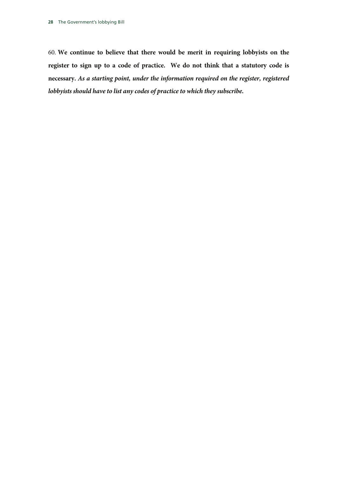60. **We continue to believe that there would be merit in requiring lobbyists on the register to sign up to a code of practice. We do not think that a statutory code is necessary.** *As a starting point, under the information required on the register, registered lobbyists should have to list any codes of practice to which they subscribe.*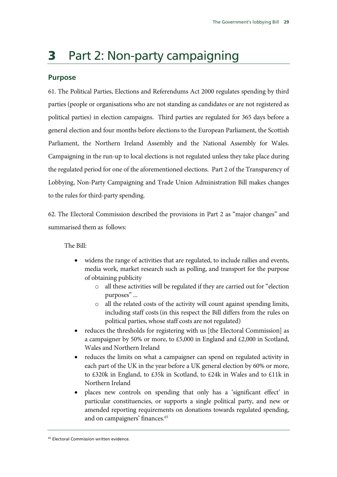# **3** Part 2: Non-party campaigning

### **Purpose**

61. The Political Parties, Elections and Referendums Act 2000 regulates spending by third parties (people or organisations who are not standing as candidates or are not registered as political parties) in election campaigns. Third parties are regulated for 365 days before a general election and four months before elections to the European Parliament, the Scottish Parliament, the Northern Ireland Assembly and the National Assembly for Wales. Campaigning in the run-up to local elections is not regulated unless they take place during the regulated period for one of the aforementioned elections. Part 2 of the Transparency of Lobbying, Non-Party Campaigning and Trade Union Administration Bill makes changes to the rules for third-party spending.

62. The Electoral Commission described the provisions in Part 2 as "major changes" and summarised them as follows:

The Bill:

- widens the range of activities that are regulated, to include rallies and events, media work, market research such as polling, and transport for the purpose of obtaining publicity
	- o all these activities will be regulated if they are carried out for "election purposes" ...
	- o all the related costs of the activity will count against spending limits, including staff costs (in this respect the Bill differs from the rules on political parties, whose staff costs are not regulated)
- reduces the thresholds for registering with us [the Electoral Commission] as a campaigner by 50% or more, to £5,000 in England and £2,000 in Scotland, Wales and Northern Ireland
- reduces the limits on what a campaigner can spend on regulated activity in each part of the UK in the year before a UK general election by 60% or more, to £320k in England, to £35k in Scotland, to £24k in Wales and to £11k in Northern Ireland
- places new controls on spending that only has a 'significant effect' in particular constituencies, or supports a single political party, and new or amended reporting requirements on donations towards regulated spending, and on campaigners' finances.<sup>65</sup>

<sup>&</sup>lt;sup>65</sup> Electoral Commission written evidence.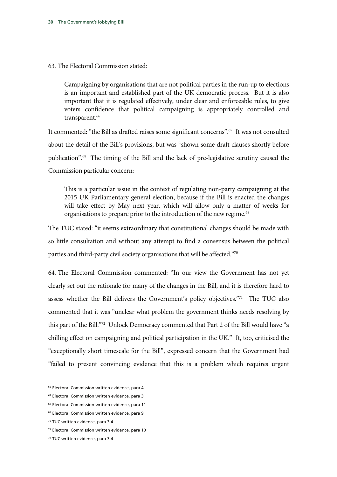#### 63. The Electoral Commission stated:

Campaigning by organisations that are not political parties in the run-up to elections is an important and established part of the UK democratic process. But it is also important that it is regulated effectively, under clear and enforceable rules, to give voters confidence that political campaigning is appropriately controlled and transparent.<sup>66</sup>

It commented: "the Bill as drafted raises some significant concerns".67 It was not consulted about the detail of the Bill's provisions, but was "shown some draft clauses shortly before publication".68 The timing of the Bill and the lack of pre-legislative scrutiny caused the Commission particular concern:

This is a particular issue in the context of regulating non-party campaigning at the 2015 UK Parliamentary general election, because if the Bill is enacted the changes will take effect by May next year, which will allow only a matter of weeks for organisations to prepare prior to the introduction of the new regime.<sup>69</sup>

The TUC stated: "it seems extraordinary that constitutional changes should be made with so little consultation and without any attempt to find a consensus between the political parties and third-party civil society organisations that will be affected."70

64. The Electoral Commission commented: "In our view the Government has not yet clearly set out the rationale for many of the changes in the Bill, and it is therefore hard to assess whether the Bill delivers the Government's policy objectives."<sup>71</sup> The TUC also commented that it was "unclear what problem the government thinks needs resolving by this part of the Bill."72 Unlock Democracy commented that Part 2 of the Bill would have "a chilling effect on campaigning and political participation in the UK." It, too, criticised the "exceptionally short timescale for the Bill", expressed concern that the Government had "failed to present convincing evidence that this is a problem which requires urgent

<sup>66</sup> Electoral Commission written evidence, para 4

<sup>67</sup> Electoral Commission written evidence, para 3

<sup>68</sup> Electoral Commission written evidence, para 11

<sup>69</sup> Electoral Commission written evidence, para 9

<sup>70</sup> TUC written evidence, para 3.4

<sup>71</sup> Electoral Commission written evidence, para 10

<sup>72</sup> TUC written evidence, para 3.4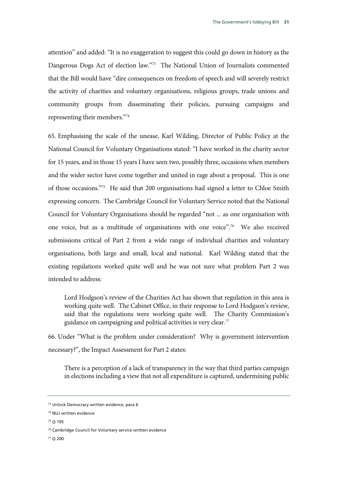attention" and added: "It is no exaggeration to suggest this could go down in history as the Dangerous Dogs Act of election law."<sup>73</sup> The National Union of Journalists commented that the Bill would have "dire consequences on freedom of speech and will severely restrict the activity of charities and voluntary organisations, religious groups, trade unions and community groups from disseminating their policies, pursuing campaigns and representing their members."74

65. Emphasising the scale of the unease, Karl Wilding, Director of Public Policy at the National Council for Voluntary Organisations stated: "I have worked in the charity sector for 15 years, and in those 15 years I have seen two, possibly three, occasions when members and the wider sector have come together and united in rage about a proposal. This is one of those occasions."75 He said that 200 organisations had signed a letter to Chloe Smith expressing concern. The Cambridge Council for Voluntary Service noted that the National Council for Voluntary Organisations should be regarded "not ... as one organisation with one voice, but as a multitude of organisations with one voice".76 We also received submissions critical of Part 2 from a wide range of individual charities and voluntary organisations, both large and small, local and national. Karl Wilding stated that the existing regulations worked quite well and he was not sure what problem Part 2 was intended to address:

Lord Hodgson's review of the Charities Act has shown that regulation in this area is working quite well. The Cabinet Office, in their response to Lord Hodgson's review, said that the regulations were working quite well. The Charity Commission's guidance on campaigning and political activities is very clear.77

66. Under "What is the problem under consideration? Why is government intervention necessary?", the Impact Assessment for Part 2 states:

There is a perception of a lack of transparency in the way that third parties campaign in elections including a view that not all expenditure is captured, undermining public

75 Q 195

77 Q 200

<sup>73</sup> Unlock Democracy written evidence, para 6

<sup>74</sup> NUJ written evidence

<sup>76</sup> Cambridge Council for Voluntary service written evidence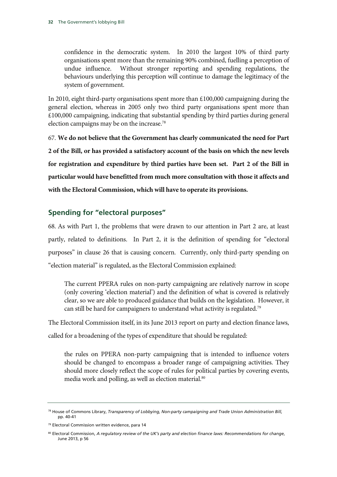confidence in the democratic system. In 2010 the largest 10% of third party organisations spent more than the remaining 90% combined, fuelling a perception of undue influence. Without stronger reporting and spending regulations, the behaviours underlying this perception will continue to damage the legitimacy of the system of government.

In 2010, eight third-party organisations spent more than  $£100,000$  campaigning during the general election, whereas in 2005 only two third party organisations spent more than  $£100,000$  campaigning, indicating that substantial spending by third parties during general election campaigns may be on the increase.<sup>78</sup>

67. **We do not believe that the Government has clearly communicated the need for Part 2 of the Bill, or has provided a satisfactory account of the basis on which the new levels for registration and expenditure by third parties have been set. Part 2 of the Bill in particular would have benefitted from much more consultation with those it affects and with the Electoral Commission, which will have to operate its provisions.** 

### **Spending for "electoral purposes"**

68. As with Part 1, the problems that were drawn to our attention in Part 2 are, at least partly, related to definitions. In Part 2, it is the definition of spending for "electoral purposes" in clause 26 that is causing concern. Currently, only third-party spending on "election material" is regulated, as the Electoral Commission explained:

The current PPERA rules on non-party campaigning are relatively narrow in scope (only covering 'election material') and the definition of what is covered is relatively clear, so we are able to produced guidance that builds on the legislation. However, it can still be hard for campaigners to understand what activity is regulated.79

The Electoral Commission itself, in its June 2013 report on party and election finance laws,

called for a broadening of the types of expenditure that should be regulated:

the rules on PPERA non-party campaigning that is intended to influence voters should be changed to encompass a broader range of campaigning activities. They should more closely reflect the scope of rules for political parties by covering events, media work and polling, as well as election material.<sup>80</sup>

<sup>78</sup> House of Commons Library, *Transparency of Lobbying, Non-party campaigning and Trade Union Administration Bill,*  pp. 40-41

<sup>&</sup>lt;sup>79</sup> Electoral Commission written evidence, para 14

<sup>80</sup> Electoral Commission, *A regulatory review of the UK's party and election finance laws: Recommendations for change*, June 2013, p 56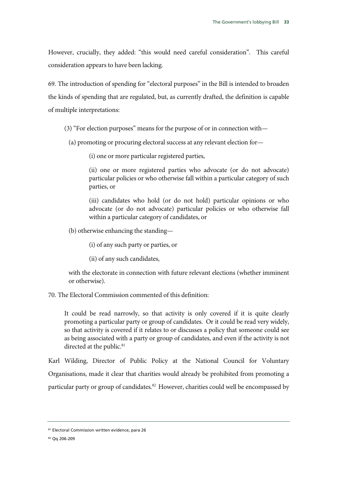However, crucially, they added: "this would need careful consideration". This careful consideration appears to have been lacking.

69. The introduction of spending for "electoral purposes" in the Bill is intended to broaden the kinds of spending that are regulated, but, as currently drafted, the definition is capable of multiple interpretations:

(3) "For election purposes" means for the purpose of or in connection with—

(a) promoting or procuring electoral success at any relevant election for—

(i) one or more particular registered parties,

(ii) one or more registered parties who advocate (or do not advocate) particular policies or who otherwise fall within a particular category of such parties, or

(iii) candidates who hold (or do not hold) particular opinions or who advocate (or do not advocate) particular policies or who otherwise fall within a particular category of candidates, or

(b) otherwise enhancing the standing—

(i) of any such party or parties, or

(ii) of any such candidates,

with the electorate in connection with future relevant elections (whether imminent or otherwise).

70. The Electoral Commission commented of this definition:

It could be read narrowly, so that activity is only covered if it is quite clearly promoting a particular party or group of candidates. Or it could be read very widely, so that activity is covered if it relates to or discusses a policy that someone could see as being associated with a party or group of candidates, and even if the activity is not directed at the public.<sup>81</sup>

Karl Wilding, Director of Public Policy at the National Council for Voluntary Organisations, made it clear that charities would already be prohibited from promoting a particular party or group of candidates.<sup>82</sup> However, charities could well be encompassed by

<sup>81</sup> Electoral Commission written evidence, para 26

<sup>82</sup> Qq 206-209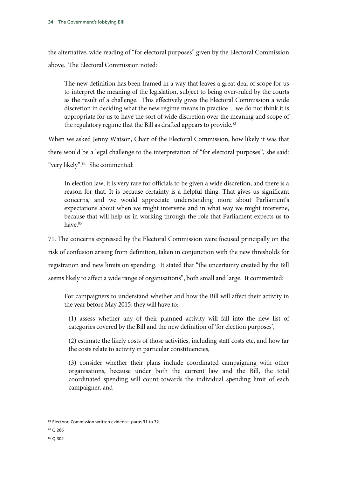the alternative, wide reading of "for electoral purposes" given by the Electoral Commission above. The Electoral Commission noted:

The new definition has been framed in a way that leaves a great deal of scope for us to interpret the meaning of the legislation, subject to being over-ruled by the courts as the result of a challenge. This effectively gives the Electoral Commission a wide discretion in deciding what the new regime means in practice ... we do not think it is appropriate for us to have the sort of wide discretion over the meaning and scope of the regulatory regime that the Bill as drafted appears to provide.<sup>83</sup>

When we asked Jenny Watson, Chair of the Electoral Commission, how likely it was that there would be a legal challenge to the interpretation of "for electoral purposes", she said: "very likely".<sup>84</sup> She commented:

In election law, it is very rare for officials to be given a wide discretion, and there is a reason for that. It is because certainty is a helpful thing. That gives us significant concerns, and we would appreciate understanding more about Parliament's expectations about when we might intervene and in what way we might intervene, because that will help us in working through the role that Parliament expects us to have.85

71. The concerns expressed by the Electoral Commission were focused principally on the risk of confusion arising from definition, taken in conjunction with the new thresholds for registration and new limits on spending. It stated that "the uncertainty created by the Bill seems likely to affect a wide range of organisations", both small and large. It commented:

For campaigners to understand whether and how the Bill will affect their activity in the year before May 2015, they will have to:

(1) assess whether any of their planned activity will fall into the new list of categories covered by the Bill and the new definition of 'for election purposes',

(2) estimate the likely costs of those activities, including staff costs etc, and how far the costs relate to activity in particular constituencies,

(3) consider whether their plans include coordinated campaigning with other organisations, because under both the current law and the Bill, the total coordinated spending will count towards the individual spending limit of each campaigner, and

- 84 Q 286
- 85 Q 302

<sup>83</sup> Electoral Commission written evidence, paras 31 to 32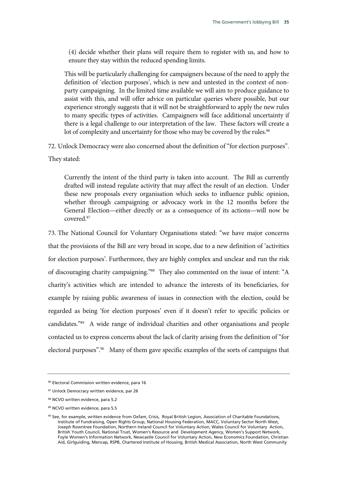(4) decide whether their plans will require them to register with us, and how to ensure they stay within the reduced spending limits.

This will be particularly challenging for campaigners because of the need to apply the definition of 'election purposes', which is new and untested in the context of nonparty campaigning. In the limited time available we will aim to produce guidance to assist with this, and will offer advice on particular queries where possible, but our experience strongly suggests that it will not be straightforward to apply the new rules to many specific types of activities. Campaigners will face additional uncertainty if there is a legal challenge to our interpretation of the law. These factors will create a lot of complexity and uncertainty for those who may be covered by the rules.<sup>86</sup>

72. Unlock Democracy were also concerned about the definition of "for election purposes". They stated:

Currently the intent of the third party is taken into account. The Bill as currently drafted will instead regulate activity that may affect the result of an election. Under these new proposals every organisation which seeks to influence public opinion, whether through campaigning or advocacy work in the 12 months before the General Election—either directly or as a consequence of its actions—will now be covered.87

73. The National Council for Voluntary Organisations stated: "we have major concerns that the provisions of the Bill are very broad in scope, due to a new definition of 'activities for election purposes'. Furthermore, they are highly complex and unclear and run the risk of discouraging charity campaigning."88 They also commented on the issue of intent: "A charity's activities which are intended to advance the interests of its beneficiaries, for example by raising public awareness of issues in connection with the election, could be regarded as being 'for election purposes' even if it doesn't refer to specific policies or candidates."89 A wide range of individual charities and other organisations and people contacted us to express concerns about the lack of clarity arising from the definition of "for electoral purposes".<sup>90</sup> Many of them gave specific examples of the sorts of campaigns that

<sup>86</sup> Electoral Commission written evidence, para 16

<sup>87</sup> Unlock Democracy written evidence, par 26

<sup>88</sup> NCVO written evidence, para 5.2

<sup>89</sup> NCVO written evidence, para 5.5

<sup>90</sup> See, for example, written evidence from Oxfam, Crisis, Royal British Legion, Association of Charitable Foundations, Institute of Fundraising, Open Rights Group, National Housing Federation, MACC, Voluntary Sector North West, Joseph Rowntree Foundation, Northern Ireland Council for Voluntary Action, Wales Council for Voluntary Action, British Youth Council, National Trust, Women's Resource and Development Agency, Women's Support Network, Foyle Women's Information Network, Newcastle Council for Voluntary Action, New Economics Foundation, Christian Aid, Girlguiding, Mencap, RSPB, Chartered Institute of Housing, British Medical Association, North West Community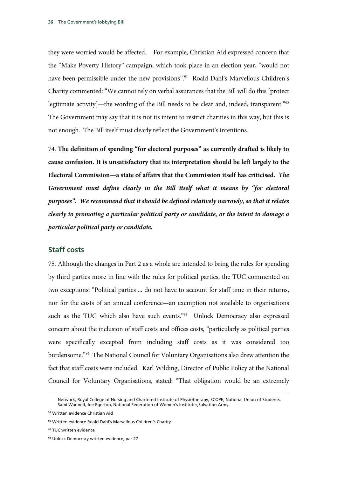they were worried would be affected. For example, Christian Aid expressed concern that the "Make Poverty History" campaign, which took place in an election year, "would not have been permissible under the new provisions".<sup>91</sup> Roald Dahl's Marvellous Children's Charity commented: "We cannot rely on verbal assurances that the Bill will do this [protect legitimate activity]—the wording of the Bill needs to be clear and, indeed, transparent."<sup>92</sup> The Government may say that it is not its intent to restrict charities in this way, but this is not enough. The Bill itself must clearly reflect the Government's intentions.

74. **The definition of spending "for electoral purposes" as currently drafted is likely to cause confusion. It is unsatisfactory that its interpretation should be left largely to the Electoral Commission—a state of affairs that the Commission itself has criticised.** *The Government must define clearly in the Bill itself what it means by "for electoral purposes". We recommend that it should be defined relatively narrowly, so that it relates clearly to promoting a particular political party or candidate, or the intent to damage a particular political party or candidate.*

#### **Staff costs**

75. Although the changes in Part 2 as a whole are intended to bring the rules for spending by third parties more in line with the rules for political parties, the TUC commented on two exceptions: "Political parties ... do not have to account for staff time in their returns, nor for the costs of an annual conference—an exemption not available to organisations such as the TUC which also have such events."<sup>93</sup> Unlock Democracy also expressed concern about the inclusion of staff costs and offices costs, "particularly as political parties were specifically excepted from including staff costs as it was considered too burdensome."94 The National Council for Voluntary Organisations also drew attention the fact that staff costs were included. Karl Wilding, Director of Public Policy at the National Council for Voluntary Organisations, stated: "That obligation would be an extremely

-

Network, Royal College of Nursing and Chartered Institute of Physiotherapy, SCOPE, National Union of Students, Sami Wannell, Joe Egerton, National Federation of Women's Institutes,Salvation Army.

<sup>91</sup> Written evidence Christian Aid

<sup>92</sup> Written evidence Roald Dahl's Marvellous Children's Charity

<sup>93</sup> TUC written evidence

<sup>94</sup> Unlock Democracy written evidence, par 27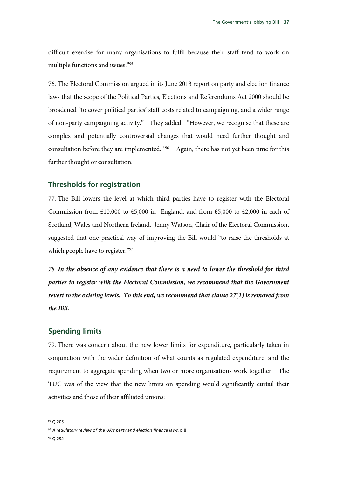difficult exercise for many organisations to fulfil because their staff tend to work on multiple functions and issues."95

76. The Electoral Commission argued in its June 2013 report on party and election finance laws that the scope of the Political Parties, Elections and Referendums Act 2000 should be broadened "to cover political parties' staff costs related to campaigning, and a wider range of non-party campaigning activity." They added: "However, we recognise that these are complex and potentially controversial changes that would need further thought and consultation before they are implemented." <sup>96</sup> Again, there has not yet been time for this further thought or consultation.

#### **Thresholds for registration**

77. The Bill lowers the level at which third parties have to register with the Electoral Commission from  $\text{\pounds}10,000$  to  $\text{\pounds}5,000$  in England, and from  $\text{\pounds}5,000$  to  $\text{\pounds}2,000$  in each of Scotland, Wales and Northern Ireland. Jenny Watson, Chair of the Electoral Commission, suggested that one practical way of improving the Bill would "to raise the thresholds at which people have to register."97

*78. In the absence of any evidence that there is a need to lower the threshold for third parties to register with the Electoral Commission, we recommend that the Government revert to the existing levels. To this end, we recommend that clause 27(1) is removed from the Bill.* 

#### **Spending limits**

79. There was concern about the new lower limits for expenditure, particularly taken in conjunction with the wider definition of what counts as regulated expenditure, and the requirement to aggregate spending when two or more organisations work together. The TUC was of the view that the new limits on spending would significantly curtail their activities and those of their affiliated unions:

<sup>95</sup> Q 205

<sup>96</sup> *A regulatory review of the UK's party and election finance laws*, p 8

<sup>97</sup> Q 292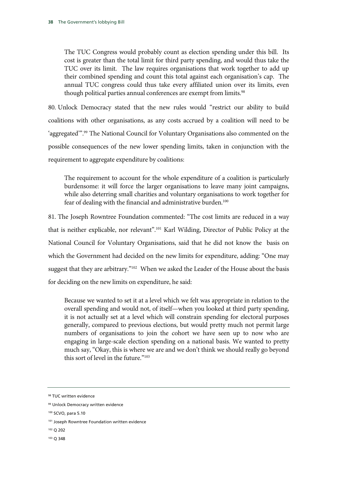The TUC Congress would probably count as election spending under this bill. Its cost is greater than the total limit for third party spending, and would thus take the TUC over its limit. The law requires organisations that work together to add up their combined spending and count this total against each organisation's cap. The annual TUC congress could thus take every affiliated union over its limits, even though political parties annual conferences are exempt from limits.<sup>98</sup>

80. Unlock Democracy stated that the new rules would "restrict our ability to build coalitions with other organisations, as any costs accrued by a coalition will need to be 'aggregated'".99 The National Council for Voluntary Organisations also commented on the possible consequences of the new lower spending limits, taken in conjunction with the requirement to aggregate expenditure by coalitions:

The requirement to account for the whole expenditure of a coalition is particularly burdensome: it will force the larger organisations to leave many joint campaigns, while also deterring small charities and voluntary organisations to work together for fear of dealing with the financial and administrative burden.<sup>100</sup>

81. The Joseph Rowntree Foundation commented: "The cost limits are reduced in a way that is neither explicable, nor relevant".<sup>101</sup> Karl Wilding, Director of Public Policy at the National Council for Voluntary Organisations, said that he did not know the basis on which the Government had decided on the new limits for expenditure, adding: "One may suggest that they are arbitrary."102 When we asked the Leader of the House about the basis for deciding on the new limits on expenditure, he said:

Because we wanted to set it at a level which we felt was appropriate in relation to the overall spending and would not, of itself—when you looked at third party spending, it is not actually set at a level which will constrain spending for electoral purposes generally, compared to previous elections, but would pretty much not permit large numbers of organisations to join the cohort we have seen up to now who are engaging in large-scale election spending on a national basis. We wanted to pretty much say, "Okay, this is where we are and we don't think we should really go beyond this sort of level in the future."103

- 102 Q 202
- 103 Q 348

<sup>98</sup> TUC written evidence

<sup>99</sup> Unlock Democracy written evidence

<sup>100</sup> SCVO, para 5.10

<sup>&</sup>lt;sup>101</sup> Joseph Rowntree Foundation written evidence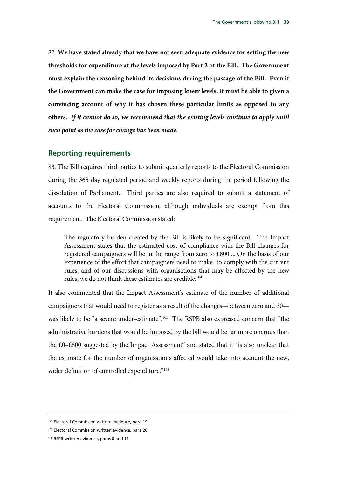82. **We have stated already that we have not seen adequate evidence for setting the new thresholds for expenditure at the levels imposed by Part 2 of the Bill. The Government must explain the reasoning behind its decisions during the passage of the Bill. Even if the Government can make the case for imposing lower levels, it must be able to given a convincing account of why it has chosen these particular limits as opposed to any others.** *If it cannot do so, we recommend that the existing levels continue to apply until such point as the case for change has been made.* 

#### **Reporting requirements**

83. The Bill requires third parties to submit quarterly reports to the Electoral Commission during the 365 day regulated period and weekly reports during the period following the dissolution of Parliament. Third parties are also required to submit a statement of accounts to the Electoral Commission, although individuals are exempt from this requirement. The Electoral Commission stated:

The regulatory burden created by the Bill is likely to be significant. The Impact Assessment states that the estimated cost of compliance with the Bill changes for registered campaigners will be in the range from zero to £800 ... On the basis of our experience of the effort that campaigners need to make to comply with the current rules, and of our discussions with organisations that may be affected by the new rules, we do not think these estimates are credible.<sup>104</sup>

It also commented that the Impact Assessment's estimate of the number of additional campaigners that would need to register as a result of the changes—between zero and 30 was likely to be "a severe under-estimate".105 The RSPB also expressed concern that "the administrative burdens that would be imposed by the bill would be far more onerous than the £0–£800 suggested by the Impact Assessment" and stated that it "is also unclear that the estimate for the number of organisations affected would take into account the new, wider definition of controlled expenditure."106

<sup>104</sup> Electoral Commission written evidence, para 19

<sup>105</sup> Electoral Commission written evidence, para 20

<sup>106</sup> RSPB written evidence, paras 8 and 11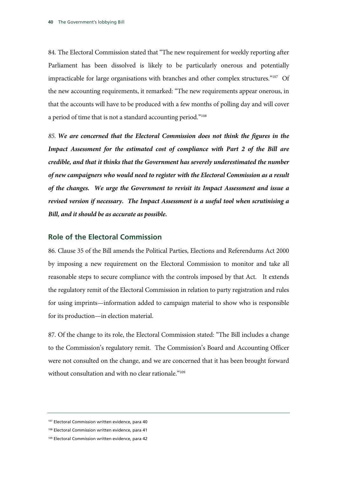84. The Electoral Commission stated that "The new requirement for weekly reporting after Parliament has been dissolved is likely to be particularly onerous and potentially impracticable for large organisations with branches and other complex structures."107 Of the new accounting requirements, it remarked: "The new requirements appear onerous, in that the accounts will have to be produced with a few months of polling day and will cover a period of time that is not a standard accounting period."108

*85. We are concerned that the Electoral Commission does not think the figures in the Impact Assessment for the estimated cost of compliance with Part 2 of the Bill are credible, and that it thinks that the Government has severely underestimated the number of new campaigners who would need to register with the Electoral Commission as a result of the changes. We urge the Government to revisit its Impact Assessment and issue a revised version if necessary. The Impact Assessment is a useful tool when scrutinising a Bill, and it should be as accurate as possible.* 

#### **Role of the Electoral Commission**

86. Clause 35 of the Bill amends the Political Parties, Elections and Referendums Act 2000 by imposing a new requirement on the Electoral Commission to monitor and take all reasonable steps to secure compliance with the controls imposed by that Act. It extends the regulatory remit of the Electoral Commission in relation to party registration and rules for using imprints—information added to campaign material to show who is responsible for its production—in election material.

87. Of the change to its role, the Electoral Commission stated: "The Bill includes a change to the Commission's regulatory remit. The Commission's Board and Accounting Officer were not consulted on the change, and we are concerned that it has been brought forward without consultation and with no clear rationale."<sup>109</sup>

<sup>107</sup> Electoral Commission written evidence, para 40

<sup>108</sup> Electoral Commission written evidence, para 41

<sup>109</sup> Electoral Commission written evidence, para 42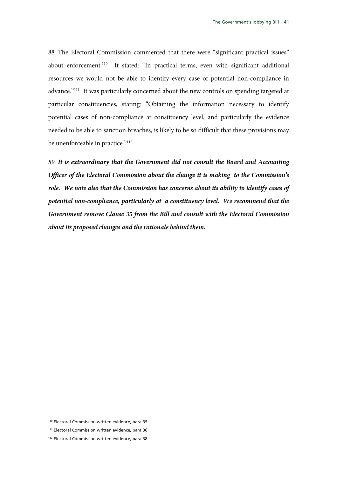88. The Electoral Commission commented that there were "significant practical issues" about enforcement.<sup>110</sup> It stated: "In practical terms, even with significant additional resources we would not be able to identify every case of potential non-compliance in advance."111 It was particularly concerned about the new controls on spending targeted at particular constituencies, stating: "Obtaining the information necessary to identify potential cases of non-compliance at constituency level, and particularly the evidence needed to be able to sanction breaches, is likely to be so difficult that these provisions may be unenforceable in practice."<sup>112</sup>

*89. It is extraordinary that the Government did not consult the Board and Accounting Officer of the Electoral Commission about the change it is making to the Commission's role. We note also that the Commission has concerns about its ability to identify cases of potential non-compliance, particularly at a constituency level. We recommend that the Government remove Clause 35 from the Bill and consult with the Electoral Commission about its proposed changes and the rationale behind them.*

<sup>110</sup> Electoral Commission written evidence, para 35

<sup>111</sup> Electoral Commission written evidence, para 36

<sup>112</sup> Electoral Commission written evidence, para 38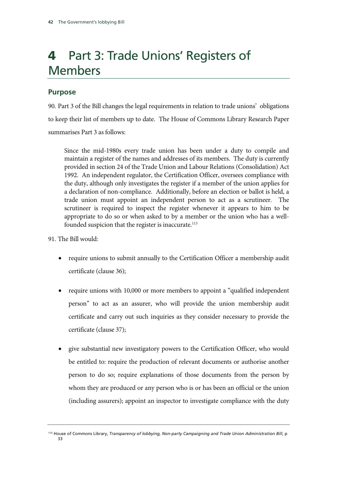# 4 Part 3: Trade Unions' Registers of Members

### **Purpose**

90. Part 3 of the Bill changes the legal requirements in relation to trade unions' obligations to keep their list of members up to date. The House of Commons Library Research Paper summarises Part 3 as follows:

Since the mid-1980s every trade union has been under a duty to compile and maintain a register of the names and addresses of its members. The duty is currently provided in section 24 of the Trade Union and Labour Relations (Consolidation) Act 1992. An independent regulator, the Certification Officer, oversees compliance with the duty, although only investigates the register if a member of the union applies for a declaration of non-compliance. Additionally, before an election or ballot is held, a trade union must appoint an independent person to act as a scrutineer. The scrutineer is required to inspect the register whenever it appears to him to be appropriate to do so or when asked to by a member or the union who has a wellfounded suspicion that the register is inaccurate.<sup>113</sup>

- 91. The Bill would:
	- require unions to submit annually to the Certification Officer a membership audit certificate (clause 36);
	- require unions with 10,000 or more members to appoint a "qualified independent person" to act as an assurer, who will provide the union membership audit certificate and carry out such inquiries as they consider necessary to provide the certificate (clause 37);
	- give substantial new investigatory powers to the Certification Officer, who would be entitled to: require the production of relevant documents or authorise another person to do so; require explanations of those documents from the person by whom they are produced or any person who is or has been an official or the union (including assurers); appoint an inspector to investigate compliance with the duty

<sup>113</sup> House of Commons Library, *Transparency of lobbying, Non-party Campaigning and Trade Union Administration Bill*, p 33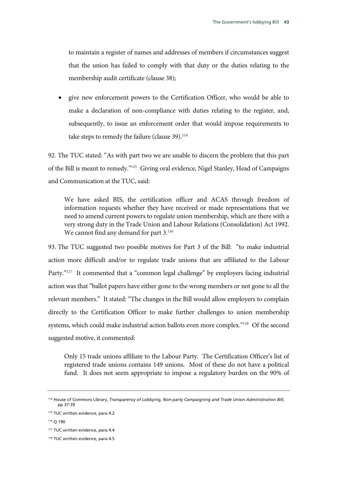to maintain a register of names and addresses of members if circumstances suggest that the union has failed to comply with that duty or the duties relating to the membership audit certificate (clause 38);

• give new enforcement powers to the Certification Officer, who would be able to make a declaration of non-compliance with duties relating to the register, and, subsequently, to issue an enforcement order that would impose requirements to take steps to remedy the failure (clause 39).<sup>114</sup>

92. The TUC stated: "As with part two we are unable to discern the problem that this part of the Bill is meant to remedy."115 Giving oral evidence, Nigel Stanley, Head of Campaigns and Communication at the TUC, said:

We have asked BIS, the certification officer and ACAS through freedom of information requests whether they have received or made representations that we need to amend current powers to regulate union membership, which are there with a very strong duty in the Trade Union and Labour Relations (Consolidation) Act 1992. We cannot find any demand for part 3.<sup>116</sup>

93. The TUC suggested two possible motives for Part 3 of the Bill: "to make industrial action more difficult and/or to regulate trade unions that are affiliated to the Labour Party."<sup>117</sup> It commented that a "common legal challenge" by employers facing industrial action was that "ballot papers have either gone to the wrong members or not gone to all the relevant members." It stated: "The changes in the Bill would allow employers to complain directly to the Certification Officer to make further challenges to union membership systems, which could make industrial action ballots even more complex."118 Of the second suggested motive, it commented:

Only 15 trade unions affiliate to the Labour Party. The Certification Officer's list of registered trade unions contains 149 unions. Most of these do not have a political fund. It does not seem appropriate to impose a regulatory burden on the 90% of

<sup>114</sup> House of Commons Library, *Transparency of Lobbying, Non-party Campaigning and Trade Union Administration Bill,*  pp 37-39

<sup>&</sup>lt;sup>115</sup> TUC written evidence, para 4.2

<sup>116</sup> Q 190

<sup>117</sup> TUC written evidence, para 4.4

<sup>118</sup> TUC written evidence, para 4.5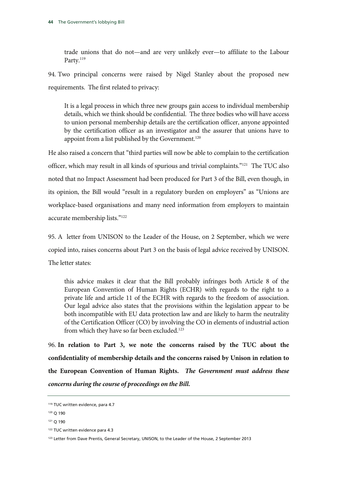trade unions that do not—and are very unlikely ever—to affiliate to the Labour Party.<sup>119</sup>

94. Two principal concerns were raised by Nigel Stanley about the proposed new requirements. The first related to privacy:

It is a legal process in which three new groups gain access to individual membership details, which we think should be confidential. The three bodies who will have access to union personal membership details are the certification officer, anyone appointed by the certification officer as an investigator and the assurer that unions have to appoint from a list published by the Government.<sup>120</sup>

He also raised a concern that "third parties will now be able to complain to the certification officer, which may result in all kinds of spurious and trivial complaints."121 The TUC also noted that no Impact Assessment had been produced for Part 3 of the Bill, even though, in its opinion, the Bill would "result in a regulatory burden on employers" as "Unions are workplace-based organisations and many need information from employers to maintain accurate membership lists."122

95. A letter from UNISON to the Leader of the House, on 2 September, which we were copied into, raises concerns about Part 3 on the basis of legal advice received by UNISON. The letter states:

this advice makes it clear that the Bill probably infringes both Article 8 of the European Convention of Human Rights (ECHR) with regards to the right to a private life and article 11 of the ECHR with regards to the freedom of association. Our legal advice also states that the provisions within the legislation appear to be both incompatible with EU data protection law and are likely to harm the neutrality of the Certification Officer (CO) by involving the CO in elements of industrial action from which they have so far been excluded.<sup>123</sup>

96. **In relation to Part 3, we note the concerns raised by the TUC about the confidentiality of membership details and the concerns raised by Unison in relation to the European Convention of Human Rights.** *The Government must address these concerns during the course of proceedings on the Bill.*

<sup>&</sup>lt;sup>119</sup> TUC written evidence, para 4.7

<sup>120</sup> Q 190

<sup>121</sup> Q 190

<sup>122</sup> TUC written evidence para 4.3

<sup>&</sup>lt;sup>123</sup> Letter from Dave Prentis, General Secretary, UNISON, to the Leader of the House, 2 September 2013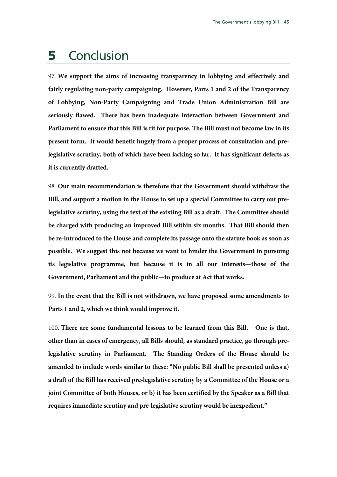### 5 Conclusion

97. **We support the aims of increasing transparency in lobbying and effectively and fairly regulating non-party campaigning. However, Parts 1 and 2 of the Transparency of Lobbying, Non-Party Campaigning and Trade Union Administration Bill are seriously flawed. There has been inadequate interaction between Government and Parliament to ensure that this Bill is fit for purpose. The Bill must not become law in its present form. It would benefit hugely from a proper process of consultation and prelegislative scrutiny, both of which have been lacking so far. It has significant defects as it is currently drafted.**

98. **Our main recommendation is therefore that the Government should withdraw the Bill, and support a motion in the House to set up a special Committee to carry out prelegislative scrutiny, using the text of the existing Bill as a draft. The Committee should be charged with producing an improved Bill within six months. That Bill should then be re-introduced to the House and complete its passage onto the statute book as soon as possible. We suggest this not because we want to hinder the Government in pursuing its legislative programme, but because it is in all our interests—those of the Government, Parliament and the public—to produce at Act that works.** 

99. **In the event that the Bill is not withdrawn, we have proposed some amendments to Parts 1 and 2, which we think would improve it.**

100. **There are some fundamental lessons to be learned from this Bill. One is that, other than in cases of emergency, all Bills should, as standard practice, go through prelegislative scrutiny in Parliament. The Standing Orders of the House should be amended to include words similar to these: "No public Bill shall be presented unless a) a draft of the Bill has received pre-legislative scrutiny by a Committee of the House or a joint Committee of both Houses, or b) it has been certified by the Speaker as a Bill that requires immediate scrutiny and pre-legislative scrutiny would be inexpedient."**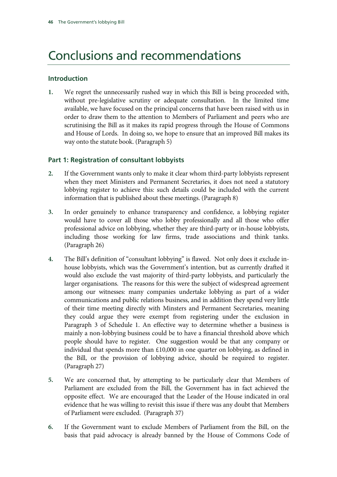# Conclusions and recommendations

#### **Introduction**

**1.** We regret the unnecessarily rushed way in which this Bill is being proceeded with, without pre-legislative scrutiny or adequate consultation. In the limited time available, we have focused on the principal concerns that have been raised with us in order to draw them to the attention to Members of Parliament and peers who are scrutinising the Bill as it makes its rapid progress through the House of Commons and House of Lords. In doing so, we hope to ensure that an improved Bill makes its way onto the statute book. (Paragraph 5)

### **Part 1: Registration of consultant lobbyists**

- **2.** If the Government wants only to make it clear whom third-party lobbyists represent when they meet Ministers and Permanent Secretaries, it does not need a statutory lobbying register to achieve this: such details could be included with the current information that is published about these meetings. (Paragraph 8)
- **3.** In order genuinely to enhance transparency and confidence, a lobbying register would have to cover all those who lobby professionally and all those who offer professional advice on lobbying, whether they are third-party or in-house lobbyists, including those working for law firms, trade associations and think tanks. (Paragraph 26)
- **4.** The Bill's definition of "consultant lobbying" is flawed. Not only does it exclude inhouse lobbyists, which was the Government's intention, but as currently drafted it would also exclude the vast majority of third-party lobbyists, and particularly the larger organisations. The reasons for this were the subject of widespread agreement among our witnesses: many companies undertake lobbying as part of a wider communications and public relations business, and in addition they spend very little of their time meeting directly with Minsters and Permanent Secretaries, meaning they could argue they were exempt from registering under the exclusion in Paragraph 3 of Schedule 1. An effective way to determine whether a business is mainly a non-lobbying business could be to have a financial threshold above which people should have to register. One suggestion would be that any company or individual that spends more than £10,000 in one quarter on lobbying, as defined in the Bill, or the provision of lobbying advice, should be required to register. (Paragraph 27)
- **5.** We are concerned that, by attempting to be particularly clear that Members of Parliament are excluded from the Bill, the Government has in fact achieved the opposite effect. We are encouraged that the Leader of the House indicated in oral evidence that he was willing to revisit this issue if there was any doubt that Members of Parliament were excluded. (Paragraph 37)
- **6.** If the Government want to exclude Members of Parliament from the Bill, on the basis that paid advocacy is already banned by the House of Commons Code of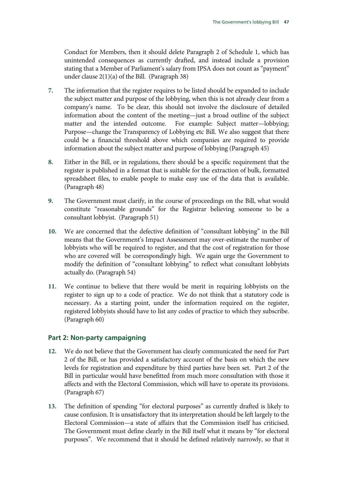Conduct for Members, then it should delete Paragraph 2 of Schedule 1, which has unintended consequences as currently drafted, and instead include a provision stating that a Member of Parliament's salary from IPSA does not count as "payment" under clause 2(1)(a) of the Bill. (Paragraph 38)

- **7.** The information that the register requires to be listed should be expanded to include the subject matter and purpose of the lobbying, when this is not already clear from a company's name. To be clear, this should not involve the disclosure of detailed information about the content of the meeting—just a broad outline of the subject matter and the intended outcome. For example: Subject matter—lobbying; Purpose—change the Transparency of Lobbying etc Bill. We also suggest that there could be a financial threshold above which companies are required to provide information about the subject matter and purpose of lobbying (Paragraph 45)
- **8.** Either in the Bill, or in regulations, there should be a specific requirement that the register is published in a format that is suitable for the extraction of bulk, formatted spreadsheet files, to enable people to make easy use of the data that is available. (Paragraph 48)
- **9.** The Government must clarify, in the course of proceedings on the Bill, what would constitute "reasonable grounds" for the Registrar believing someone to be a consultant lobbyist. (Paragraph 51)
- **10.** We are concerned that the defective definition of "consultant lobbying" in the Bill means that the Government's Impact Assessment may over-estimate the number of lobbyists who will be required to register, and that the cost of registration for those who are covered will be correspondingly high. We again urge the Government to modify the definition of "consultant lobbying" to reflect what consultant lobbyists actually do. (Paragraph 54)
- **11.** We continue to believe that there would be merit in requiring lobbyists on the register to sign up to a code of practice. We do not think that a statutory code is necessary. As a starting point, under the information required on the register, registered lobbyists should have to list any codes of practice to which they subscribe. (Paragraph 60)

### **Part 2: Non-party campaigning**

- **12.** We do not believe that the Government has clearly communicated the need for Part 2 of the Bill, or has provided a satisfactory account of the basis on which the new levels for registration and expenditure by third parties have been set. Part 2 of the Bill in particular would have benefitted from much more consultation with those it affects and with the Electoral Commission, which will have to operate its provisions. (Paragraph 67)
- **13.** The definition of spending "for electoral purposes" as currently drafted is likely to cause confusion. It is unsatisfactory that its interpretation should be left largely to the Electoral Commission—a state of affairs that the Commission itself has criticised. The Government must define clearly in the Bill itself what it means by "for electoral purposes". We recommend that it should be defined relatively narrowly, so that it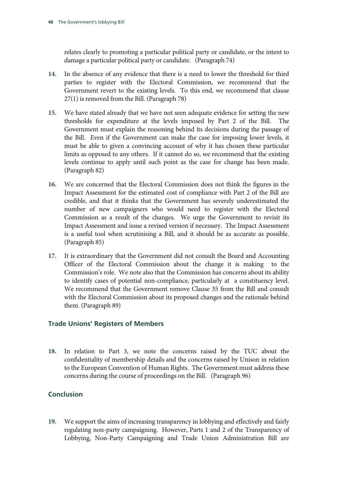relates clearly to promoting a particular political party or candidate, or the intent to damage a particular political party or candidate. (Paragraph 74)

- **14.** In the absence of any evidence that there is a need to lower the threshold for third parties to register with the Electoral Commission, we recommend that the Government revert to the existing levels. To this end, we recommend that clause 27(1) is removed from the Bill. (Paragraph 78)
- **15.** We have stated already that we have not seen adequate evidence for setting the new thresholds for expenditure at the levels imposed by Part 2 of the Bill. The Government must explain the reasoning behind its decisions during the passage of the Bill. Even if the Government can make the case for imposing lower levels, it must be able to given a convincing account of why it has chosen these particular limits as opposed to any others. If it cannot do so, we recommend that the existing levels continue to apply until such point as the case for change has been made. (Paragraph 82)
- **16.** We are concerned that the Electoral Commission does not think the figures in the Impact Assessment for the estimated cost of compliance with Part 2 of the Bill are credible, and that it thinks that the Government has severely underestimated the number of new campaigners who would need to register with the Electoral Commission as a result of the changes. We urge the Government to revisit its Impact Assessment and issue a revised version if necessary. The Impact Assessment is a useful tool when scrutinising a Bill, and it should be as accurate as possible. (Paragraph 85)
- **17.** It is extraordinary that the Government did not consult the Board and Accounting Officer of the Electoral Commission about the change it is making to the Commission's role. We note also that the Commission has concerns about its ability to identify cases of potential non-compliance, particularly at a constituency level. We recommend that the Government remove Clause 35 from the Bill and consult with the Electoral Commission about its proposed changes and the rationale behind them. (Paragraph 89)

### **Trade Unions' Registers of Members**

**18.** In relation to Part 3, we note the concerns raised by the TUC about the confidentiality of membership details and the concerns raised by Unison in relation to the European Convention of Human Rights. The Government must address these concerns during the course of proceedings on the Bill.(Paragraph 96)

### **Conclusion**

**19.** We support the aims of increasing transparency in lobbying and effectively and fairly regulating non-party campaigning. However, Parts 1 and 2 of the Transparency of Lobbying, Non-Party Campaigning and Trade Union Administration Bill are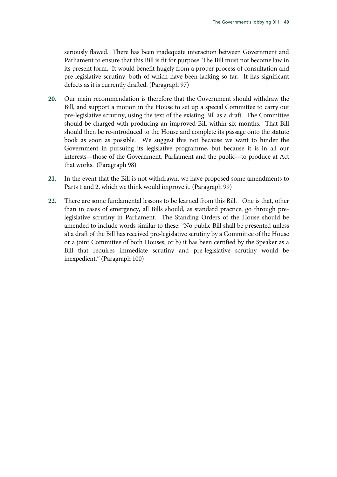seriously flawed. There has been inadequate interaction between Government and Parliament to ensure that this Bill is fit for purpose. The Bill must not become law in its present form. It would benefit hugely from a proper process of consultation and pre-legislative scrutiny, both of which have been lacking so far. It has significant defects as it is currently drafted. (Paragraph 97)

- **20.** Our main recommendation is therefore that the Government should withdraw the Bill, and support a motion in the House to set up a special Committee to carry out pre-legislative scrutiny, using the text of the existing Bill as a draft. The Committee should be charged with producing an improved Bill within six months. That Bill should then be re-introduced to the House and complete its passage onto the statute book as soon as possible. We suggest this not because we want to hinder the Government in pursuing its legislative programme, but because it is in all our interests—those of the Government, Parliament and the public—to produce at Act that works. (Paragraph 98)
- **21.** In the event that the Bill is not withdrawn, we have proposed some amendments to Parts 1 and 2, which we think would improve it. (Paragraph 99)
- **22.** There are some fundamental lessons to be learned from this Bill. One is that, other than in cases of emergency, all Bills should, as standard practice, go through prelegislative scrutiny in Parliament. The Standing Orders of the House should be amended to include words similar to these: "No public Bill shall be presented unless a) a draft of the Bill has received pre-legislative scrutiny by a Committee of the House or a joint Committee of both Houses, or b) it has been certified by the Speaker as a Bill that requires immediate scrutiny and pre-legislative scrutiny would be inexpedient." (Paragraph 100)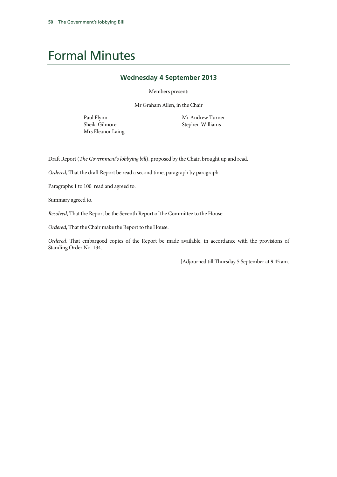## Formal Minutes

#### **Wednesday 4 September 2013**

Members present:

Mr Graham Allen, in the Chair

Paul Flynn Sheila Gilmore Mrs Eleanor Laing Mr Andrew Turner Stephen Williams

Draft Report (*The Government's lobbying bill*), proposed by the Chair, brought up and read.

*Ordered*, That the draft Report be read a second time, paragraph by paragraph.

Paragraphs 1 to 100 read and agreed to.

Summary agreed to.

*Resolved*, That the Report be the Seventh Report of the Committee to the House.

*Ordered*, That the Chair make the Report to the House.

*Ordered*, That embargoed copies of the Report be made available, in accordance with the provisions of Standing Order No. 134.

[Adjourned till Thursday 5 September at 9.45 am.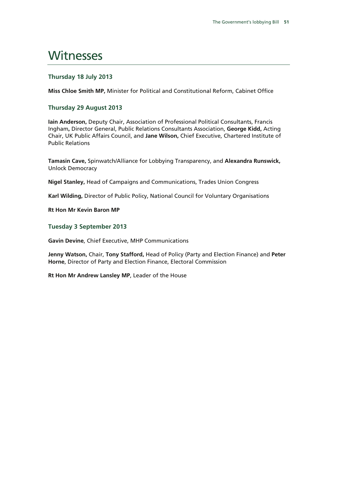### **Witnesses**

#### **Thursday 18 July 2013**

**Miss Chloe Smith MP,** Minister for Political and Constitutional Reform, Cabinet Office

#### **Thursday 29 August 2013**

**Iain Anderson,** Deputy Chair, Association of Professional Political Consultants, Francis Ingham**,** Director General, Public Relations Consultants Association, **George Kidd,** Acting Chair, UK Public Affairs Council, and **Jane Wilson,** Chief Executive, Chartered Institute of Public Relations

**Tamasin Cave,** Spinwatch/Alliance for Lobbying Transparency, and **Alexandra Runswick,** Unlock Democracy

**Nigel Stanley,** Head of Campaigns and Communications, Trades Union Congress

**Karl Wilding,** Director of Public Policy, National Council for Voluntary Organisations

**Rt Hon Mr Kevin Baron MP** 

#### **Tuesday 3 September 2013**

**Gavin Devine**, Chief Executive, MHP Communications

**Jenny Watson,** Chair, **Tony Stafford,** Head of Policy (Party and Election Finance) and **Peter Horne**, Director of Party and Election Finance, Electoral Commission

**Rt Hon Mr Andrew Lansley MP**, Leader of the House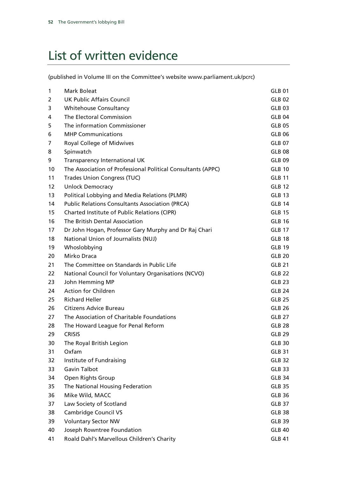# List of written evidence

(published in Volume III on the Committee's website www.parliament.uk/pcrc)

| 1  | <b>Mark Boleat</b>                                           | GLB 01            |
|----|--------------------------------------------------------------|-------------------|
| 2  | <b>UK Public Affairs Council</b>                             | <b>GLB 02</b>     |
| 3  | <b>Whitehouse Consultancy</b>                                | GLB <sub>03</sub> |
| 4  | The Electoral Commission                                     | <b>GLB 04</b>     |
| 5  | The information Commissioner                                 | <b>GLB 05</b>     |
| 6  | <b>MHP Communications</b>                                    | <b>GLB 06</b>     |
| 7  | Royal College of Midwives                                    | <b>GLB 07</b>     |
| 8  | Spinwatch                                                    | <b>GLB 08</b>     |
| 9  | Transparency International UK                                | <b>GLB 09</b>     |
| 10 | The Association of Professional Political Consultants (APPC) | <b>GLB 10</b>     |
| 11 | <b>Trades Union Congress (TUC)</b>                           | <b>GLB 11</b>     |
| 12 | <b>Unlock Democracy</b>                                      | <b>GLB 12</b>     |
| 13 | Political Lobbying and Media Relations (PLMR)                | <b>GLB 13</b>     |
| 14 | <b>Public Relations Consultants Association (PRCA)</b>       | <b>GLB 14</b>     |
| 15 | <b>Charted Institute of Public Relations (CIPR)</b>          | <b>GLB 15</b>     |
| 16 | The British Dental Association                               | <b>GLB 16</b>     |
| 17 | Dr John Hogan, Professor Gary Murphy and Dr Raj Chari        | <b>GLB 17</b>     |
| 18 | <b>National Union of Journalists (NUJ)</b>                   | <b>GLB 18</b>     |
| 19 | Whoslobbying                                                 | <b>GLB 19</b>     |
| 20 | Mirko Draca                                                  | <b>GLB 20</b>     |
| 21 | The Committee on Standards in Public Life                    | <b>GLB 21</b>     |
| 22 | National Council for Voluntary Organisations (NCVO)          | <b>GLB 22</b>     |
| 23 | John Hemming MP                                              | <b>GLB 23</b>     |
| 24 | <b>Action for Children</b>                                   | <b>GLB 24</b>     |
| 25 | <b>Richard Heller</b>                                        | <b>GLB 25</b>     |
| 26 | <b>Citizens Advice Bureau</b>                                | <b>GLB 26</b>     |
| 27 | The Association of Charitable Foundations                    | <b>GLB 27</b>     |
| 28 | The Howard League for Penal Reform                           | <b>GLB 28</b>     |
| 29 | <b>CRISIS</b>                                                | <b>GLB 29</b>     |
| 30 | The Royal British Legion                                     | <b>GLB 30</b>     |
| 31 | Oxfam                                                        | <b>GLB 31</b>     |
| 32 | Institute of Fundraising                                     | <b>GLB 32</b>     |
| 33 | Gavin Talbot                                                 | <b>GLB 33</b>     |
| 34 | Open Rights Group                                            | <b>GLB 34</b>     |
| 35 | The National Housing Federation                              | <b>GLB 35</b>     |
| 36 | Mike Wild, MACC                                              | <b>GLB 36</b>     |
| 37 | Law Society of Scotland                                      | <b>GLB 37</b>     |
| 38 | <b>Cambridge Council VS</b>                                  | <b>GLB 38</b>     |
| 39 | <b>Voluntary Sector NW</b>                                   | <b>GLB 39</b>     |
| 40 | Joseph Rowntree Foundation                                   | <b>GLB 40</b>     |
| 41 | Roald Dahl's Marvellous Children's Charity                   | <b>GLB 41</b>     |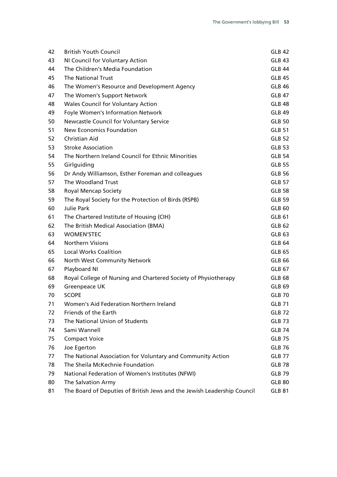| 42 | <b>British Youth Council</b>                                            | <b>GLB 42</b> |
|----|-------------------------------------------------------------------------|---------------|
| 43 | NI Council for Voluntary Action                                         | <b>GLB 43</b> |
| 44 | The Children's Media Foundation                                         | GLB 44        |
| 45 | <b>The National Trust</b>                                               | <b>GLB 45</b> |
| 46 | The Women's Resource and Development Agency                             | <b>GLB 46</b> |
| 47 | The Women's Support Network                                             | <b>GLB 47</b> |
| 48 | Wales Council for Voluntary Action                                      | <b>GLB 48</b> |
| 49 | Foyle Women's Information Network                                       | <b>GLB 49</b> |
| 50 | Newcastle Council for Voluntary Service                                 | <b>GLB 50</b> |
| 51 | <b>New Economics Foundation</b>                                         | <b>GLB 51</b> |
| 52 | <b>Christian Aid</b>                                                    | <b>GLB 52</b> |
| 53 | <b>Stroke Association</b>                                               | <b>GLB 53</b> |
| 54 | The Northern Ireland Council for Ethnic Minorities                      | <b>GLB 54</b> |
| 55 | Girlguiding                                                             | <b>GLB 55</b> |
| 56 | Dr Andy Williamson, Esther Foreman and colleagues                       | <b>GLB 56</b> |
| 57 | The Woodland Trust                                                      | <b>GLB 57</b> |
| 58 | <b>Royal Mencap Society</b>                                             | <b>GLB 58</b> |
| 59 | The Royal Society for the Protection of Birds (RSPB)                    | <b>GLB 59</b> |
| 60 | <b>Julie Park</b>                                                       | <b>GLB 60</b> |
| 61 | The Chartered Institute of Housing (CIH)                                | <b>GLB 61</b> |
| 62 | The British Medical Association (BMA)                                   | <b>GLB 62</b> |
| 63 | <b>WOMEN'STEC</b>                                                       | <b>GLB 63</b> |
| 64 | <b>Northern Visions</b>                                                 | <b>GLB 64</b> |
| 65 | <b>Local Works Coalition</b>                                            | <b>GLB 65</b> |
| 66 | North West Community Network                                            | <b>GLB 66</b> |
| 67 | Playboard NI                                                            | <b>GLB 67</b> |
| 68 | Royal College of Nursing and Chartered Society of Physiotherapy         | <b>GLB 68</b> |
| 69 | Greenpeace UK                                                           | <b>GLB 69</b> |
| 70 | <b>SCOPE</b>                                                            | <b>GLB 70</b> |
| 71 | Women's Aid Federation Northern Ireland                                 | <b>GLB 71</b> |
| 72 | Friends of the Earth                                                    | <b>GLB 72</b> |
| 73 | The National Union of Students                                          | <b>GLB 73</b> |
| 74 | Sami Wannell                                                            | <b>GLB 74</b> |
| 75 | <b>Compact Voice</b>                                                    | <b>GLB 75</b> |
| 76 | Joe Egerton                                                             | <b>GLB 76</b> |
| 77 | The National Association for Voluntary and Community Action             | <b>GLB 77</b> |
| 78 | The Sheila McKechnie Foundation                                         | <b>GLB 78</b> |
| 79 | National Federation of Women's Institutes (NFWI)                        | <b>GLB 79</b> |
| 80 | The Salvation Army                                                      | <b>GLB 80</b> |
| 81 | The Board of Deputies of British Jews and the Jewish Leadership Council | <b>GLB 81</b> |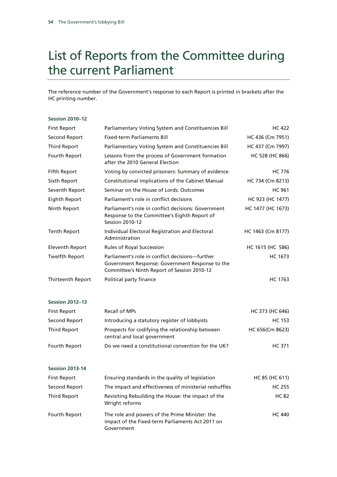# List of Reports from the Committee during the current Parliament

The reference number of the Government's response to each Report is printed in brackets after the HC printing number.

#### **Session 2010–12**

| <b>First Report</b>   | Parliamentary Voting System and Constituencies Bill                                                                                               | <b>HC 422</b>     |
|-----------------------|---------------------------------------------------------------------------------------------------------------------------------------------------|-------------------|
| Second Report         | <b>Fixed-term Parliaments Bill</b>                                                                                                                | HC 436 (Cm 7951)  |
| Third Report          | Parliamentary Voting System and Constituencies Bill                                                                                               | HC 437 (Cm 7997)  |
| Fourth Report         | Lessons from the process of Government formation<br>after the 2010 General Election                                                               | HC 528 (HC 866)   |
| Fifth Report          | Voting by convicted prisoners: Summary of evidence                                                                                                | <b>HC 776</b>     |
| Sixth Report          | Constitutional implications of the Cabinet Manual                                                                                                 | HC 734 (Cm 8213)  |
| Seventh Report        | Seminar on the House of Lords: Outcomes                                                                                                           | <b>HC 961</b>     |
| Eighth Report         | Parliament's role in conflict decisions                                                                                                           | HC 923 (HC 1477)  |
| Ninth Report          | Parliament's role in conflict decisions: Government<br>Response to the Committee's Eighth Report of<br><b>Session 2010-12</b>                     | HC 1477 (HC 1673) |
| Tenth Report          | Individual Electoral Registration and Electoral<br>Administration                                                                                 | HC 1463 (Cm 8177) |
| Eleventh Report       | Rules of Royal Succession                                                                                                                         | HC 1615 (HC 586)  |
| <b>Twelfth Report</b> | Parliament's role in conflict decisions—further<br>Government Response: Government Response to the<br>Committee's Ninth Report of Session 2010-12 | <b>HC 1673</b>    |
| Thirteenth Report     | Political party finance                                                                                                                           | HC 1763           |

#### **Session 2012–13**

| First Report  | <b>Recall of MPs</b>                                                             | HC 373 (HC 646) |
|---------------|----------------------------------------------------------------------------------|-----------------|
| Second Report | Introducing a statutory register of lobbyists                                    | HC 153          |
| Third Report  | Prospects for codifying the relationship between<br>central and local government | HC 656(Cm 8623) |
| Fourth Report | Do we need a constitutional convention for the UK?                               | HC 371          |

#### **Session 2013-14**

| <b>First Report</b> | Ensuring standards in the quality of legislation                                                                 | HC 85 (HC 611) |
|---------------------|------------------------------------------------------------------------------------------------------------------|----------------|
| Second Report       | The impact and effectiveness of ministerial reshuffles                                                           | <b>HC 255</b>  |
| <b>Third Report</b> | Revisiting Rebuilding the House: the impact of the<br>Wright reforms                                             | <b>HC 82</b>   |
| Fourth Report       | The role and powers of the Prime Minister: the<br>impact of the Fixed-term Parliaments Act 2011 on<br>Government | <b>HC 440</b>  |